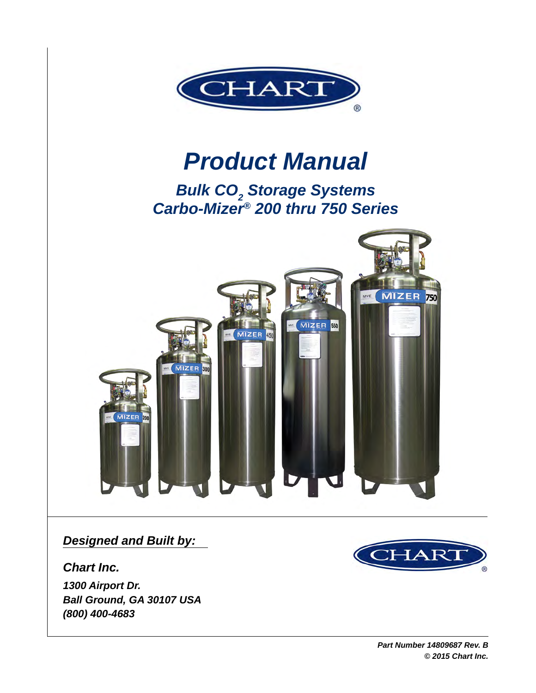

# *Product Manual*

**Bulk CO<sub>2</sub> Storage Systems** *Carbo-Mizer® 200 thru 750 Series*



*Designed and Built by:*

*Chart Inc.*

*1300 Airport Dr. Ball Ground, GA 30107 USA (800) 400-4683*

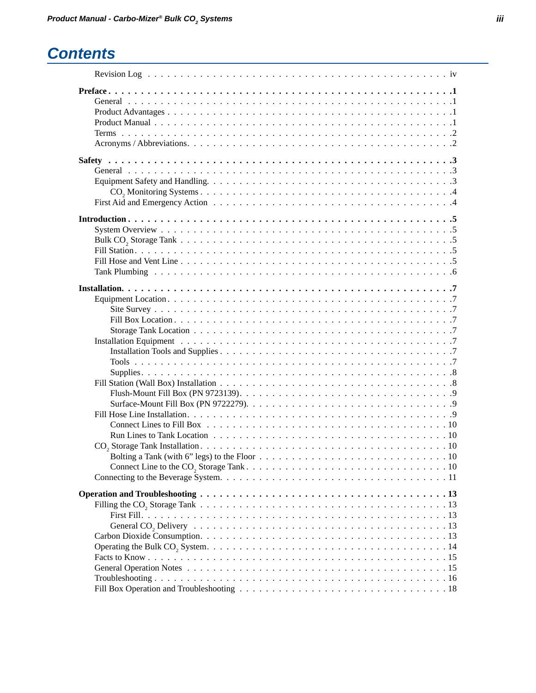## *Contents*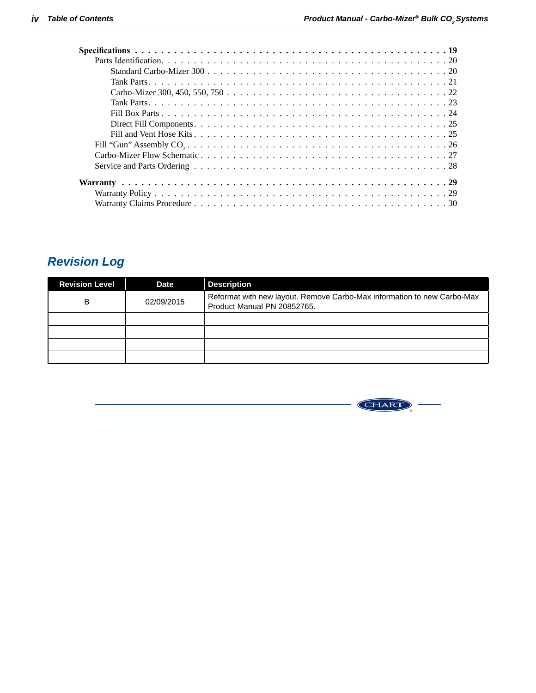<span id="page-3-0"></span>

## *Revision Log*

| <b>Revision Level</b> | Date       | <b>Description</b>                                                                                     |
|-----------------------|------------|--------------------------------------------------------------------------------------------------------|
| B                     | 02/09/2015 | Reformat with new layout. Remove Carbo-Max information to new Carbo-Max<br>Product Manual PN 20852765. |
|                       |            |                                                                                                        |
|                       |            |                                                                                                        |
|                       |            |                                                                                                        |
|                       |            |                                                                                                        |

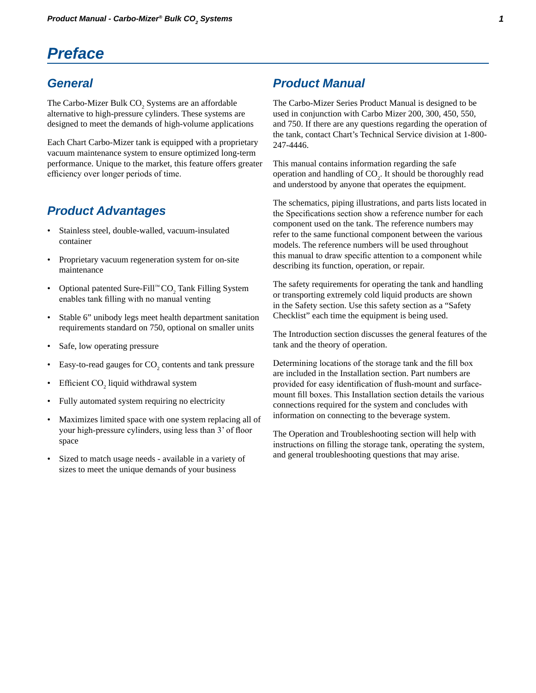## <span id="page-4-0"></span>*Preface*

### *General*

The Carbo-Mizer Bulk  $CO_2$  Systems are an affordable alternative to high-pressure cylinders. These systems are designed to meet the demands of high-volume applications

Each Chart Carbo-Mizer tank is equipped with a proprietary vacuum maintenance system to ensure optimized long-term performance. Unique to the market, this feature offers greater efficiency over longer periods of time.

### *Product Advantages*

- Stainless steel, double-walled, vacuum-insulated container
- Proprietary vacuum regeneration system for on-site maintenance
- Optional patented Sure-Fill™  $CO_2$  Tank Filling System enables tank filling with no manual venting
- Stable 6" unibody legs meet health department sanitation requirements standard on 750, optional on smaller units
- Safe, low operating pressure
- Easy-to-read gauges for  $CO_2$  contents and tank pressure
- Efficient  $CO<sub>2</sub>$  liquid withdrawal system
- Fully automated system requiring no electricity
- Maximizes limited space with one system replacing all of your high-pressure cylinders, using less than 3' of floor space
- Sized to match usage needs available in a variety of sizes to meet the unique demands of your business

### *Product Manual*

The Carbo-Mizer Series Product Manual is designed to be used in conjunction with Carbo Mizer 200, 300, 450, 550, and 750. If there are any questions regarding the operation of the tank, contact Chart's Technical Service division at 1-800- 247-4446.

This manual contains information regarding the safe operation and handling of  $CO<sub>2</sub>$ . It should be thoroughly read and understood by anyone that operates the equipment.

The schematics, piping illustrations, and parts lists located in the Specifications section show a reference number for each component used on the tank. The reference numbers may refer to the same functional component between the various models. The reference numbers will be used throughout this manual to draw specific attention to a component while describing its function, operation, or repair.

The safety requirements for operating the tank and handling or transporting extremely cold liquid products are shown in the Safety section. Use this safety section as a "Safety Checklist" each time the equipment is being used.

The Introduction section discusses the general features of the tank and the theory of operation.

Determining locations of the storage tank and the fill box are included in the Installation section. Part numbers are provided for easy identification of flush-mount and surfacemount fill boxes. This Installation section details the various connections required for the system and concludes with information on connecting to the beverage system.

The Operation and Troubleshooting section will help with instructions on filling the storage tank, operating the system, and general troubleshooting questions that may arise.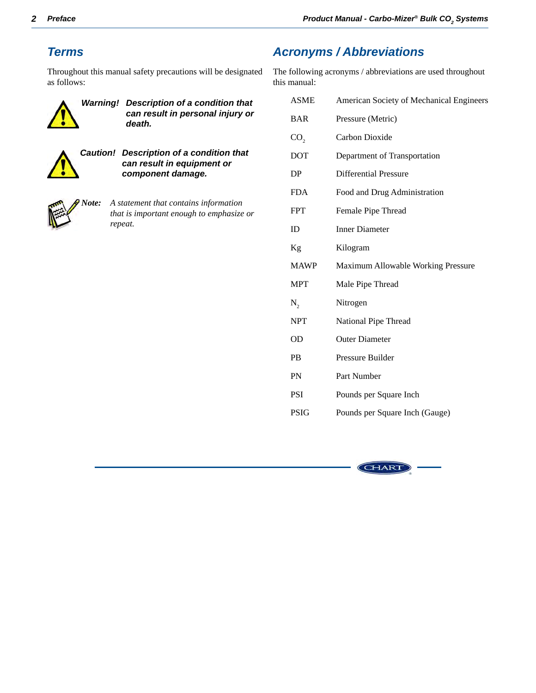## <span id="page-5-0"></span>*Terms*

Throughout this manual safety precautions will be designated as follows:



*Warning! Description of a condition that can result in personal injury or death.*



*Caution! Description of a condition that can result in equipment or component damage.*



*Note: A statement that contains information that is important enough to emphasize or repeat.*

## *Acronyms / Abbreviations*

The following acronyms / abbreviations are used throughout this manual:

| <b>ASME</b>     | American Society of Mechanical Engineers |  |
|-----------------|------------------------------------------|--|
| <b>BAR</b>      | Pressure (Metric)                        |  |
| CO <sub>2</sub> | Carbon Dioxide                           |  |
| DOT             | Department of Transportation             |  |
| DP              | <b>Differential Pressure</b>             |  |
| <b>FDA</b>      | Food and Drug Administration             |  |
| <b>FPT</b>      | Female Pipe Thread                       |  |
| ID              | <b>Inner Diameter</b>                    |  |
| Kg              | Kilogram                                 |  |
| <b>MAWP</b>     | Maximum Allowable Working Pressure       |  |
| <b>MPT</b>      | Male Pipe Thread                         |  |
|                 |                                          |  |
| $N_{\gamma}$    | Nitrogen                                 |  |
| <b>NPT</b>      | National Pipe Thread                     |  |
| <b>OD</b>       | <b>Outer Diameter</b>                    |  |
| <b>PB</b>       | Pressure Builder                         |  |
| PN              | Part Number                              |  |
| PSI             | Pounds per Square Inch                   |  |

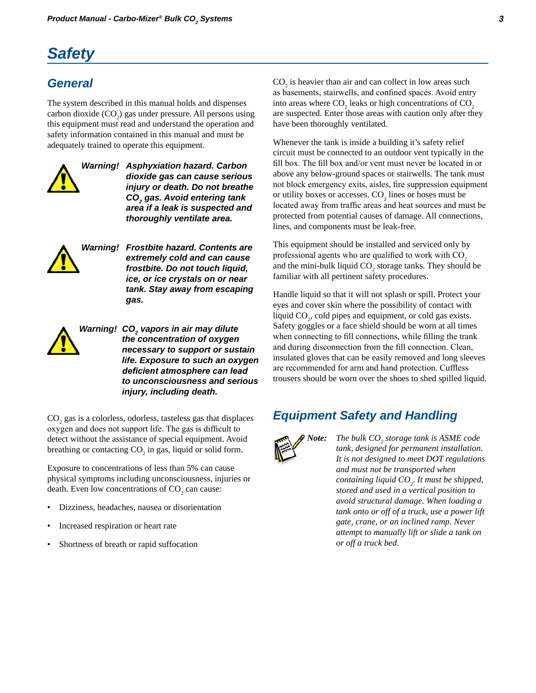## <span id="page-6-0"></span>*Safety*

## *General*

The system described in this manual holds and dispenses carbon dioxide  $(CO_2)$  gas under pressure. All persons using this equipment must read and understand the operation and safety information contained in this manual and must be adequately trained to operate this equipment.



*Warning! Asphyxiation hazard. Carbon dioxide gas can cause serious injury or death. Do not breathe CO2 gas. Avoid entering tank area if a leak is suspected and thoroughly ventilate area.*



*Warning! Frostbite hazard. Contents are extremely cold and can cause frostbite. Do not touch liquid, ice, or ice crystals on or near tank. Stay away from escaping gas.*



Warning! CO<sub>2</sub> vapors in air may dilute *the concentration of oxygen necessary to support or sustain life. Exposure to such an oxygen deficient atmosphere can lead to unconsciousness and serious injury, including death.*

 $\mathrm{CO}_2$  gas is a colorless, odorless, tasteless gas that displaces oxygen and does not support life. The gas is difficult to detect without the assistance of special equipment. Avoid breathing or contacting  $CO_2$  in gas, liquid or solid form.

Exposure to concentrations of less than 5% can cause physical symptoms including unconsciousness, injuries or death. Even low concentrations of  $CO<sub>2</sub>$  can cause:

- Dizziness, headaches, nausea or disorientation
- Increased respiration or heart rate
- Shortness of breath or rapid suffocation

 $CO<sub>2</sub>$  is heavier than air and can collect in low areas such as basements, stairwells, and confined spaces. Avoid entry into areas where  $\text{CO}_2$  leaks or high concentrations of  $\text{CO}_2$ are suspected. Enter those areas with caution only after they have been thoroughly ventilated.

Whenever the tank is inside a building it's safety relief circuit must be connected to an outdoor vent typically in the fill box. The fill box and/or vent must never be located in or above any below-ground spaces or stairwells. The tank must not block emergency exits, aisles, fire suppression equipment or utility boxes or accesses.  $CO_2$  lines or hoses must be located away from traffic areas and heat sources and must be protected from potential causes of damage. All connections, lines, and components must be leak-free.

This equipment should be installed and serviced only by professional agents who are qualified to work with  $CO<sub>2</sub>$ and the mini-bulk liquid  $CO_2$  storage tanks. They should be familiar with all pertinent safety procedures.

Handle liquid so that it will not splash or spill. Protect your eyes and cover skin where the possibility of contact with liquid  $CO<sub>2</sub>$ , cold pipes and equipment, or cold gas exists. Safety goggles or a face shield should be worn at all times when connecting to fill connections, while filling the trank and during disconnection from the fill connection. Clean, insulated gloves that can be easily removed and long sleeves are recommended for arm and hand protection. Cuffless trousers should be worn over the shoes to shed spilled liquid.

## *Equipment Safety and Handling*



*Note:* The bulk CO<sub>2</sub> storage tank is ASME code *tank, designed for permanent installation. It is not designed to meet DOT regulations and must not be transported when containing liquid CO2 . It must be shipped, stored and used in a vertical position to avoid structural damage. When loading a tank onto or off of a truck, use a power lift gate, crane, or an inclined ramp. Never attempt to manually lift or slide a tank on or off a truck bed.*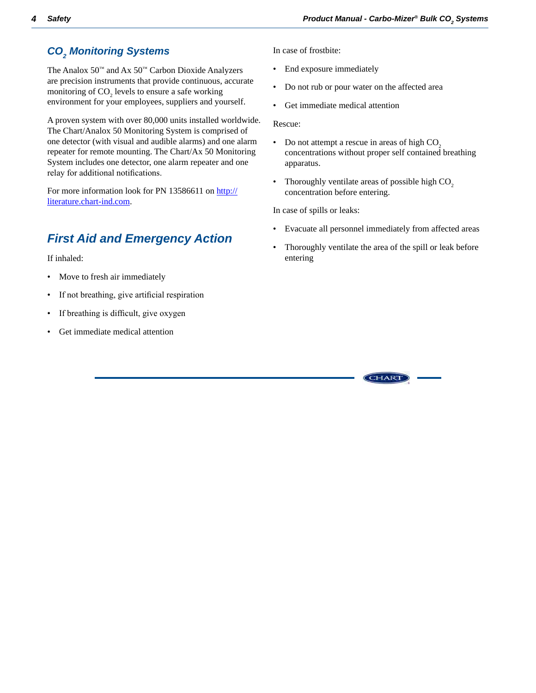## <span id="page-7-0"></span>*CO2 Monitoring Systems*

The Analox  $50^{\text{m}}$  and Ax  $50^{\text{m}}$  Carbon Dioxide Analyzers are precision instruments that provide continuous, accurate monitoring of  $CO<sub>2</sub>$  levels to ensure a safe working environment for your employees, suppliers and yourself.

A proven system with over 80,000 units installed worldwide. The Chart/Analox 50 Monitoring System is comprised of one detector (with visual and audible alarms) and one alarm repeater for remote mounting. The Chart/Ax 50 Monitoring System includes one detector, one alarm repeater and one relay for additional notifications.

For more information look for PN 13586611 on http:// [literature.chart-ind.com](http://literature.chart-ind.com/Default.aspx?siteid=1).

## *First Aid and Emergency Action*

If inhaled:

- Move to fresh air immediately
- If not breathing, give artificial respiration
- If breathing is difficult, give oxygen
- Get immediate medical attention

In case of frostbite:

- End exposure immediately
- Do not rub or pour water on the affected area
- Get immediate medical attention

Rescue:

- Do not attempt a rescue in areas of high  $CO<sub>2</sub>$ concentrations without proper self contained breathing apparatus.
- Thoroughly ventilate areas of possible high  $CO<sub>2</sub>$ concentration before entering.

In case of spills or leaks:

- Evacuate all personnel immediately from affected areas
- Thoroughly ventilate the area of the spill or leak before entering

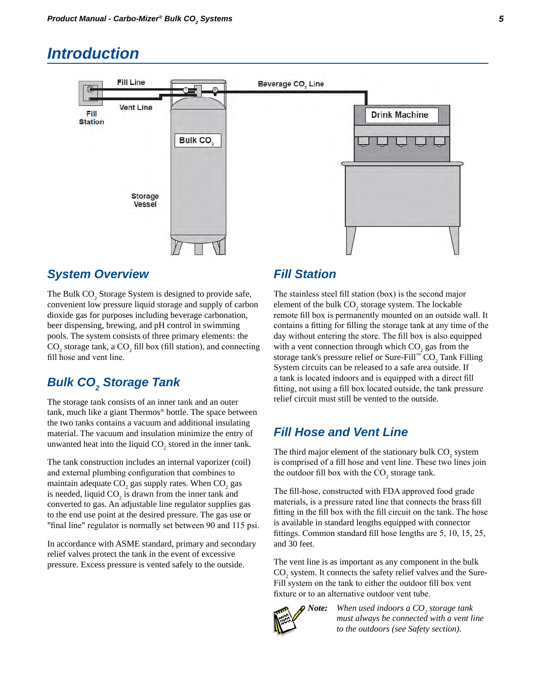## <span id="page-8-0"></span>*Introduction*



#### *System Overview*

The Bulk  $CO_2$  Storage System is designed to provide safe, convenient low pressure liquid storage and supply of carbon dioxide gas for purposes including beverage carbonation, beer dispensing, brewing, and pH control in swimming pools. The system consists of three primary elements: the  $CO_2$  storage tank, a  $CO_2$  fill box (fill station), and connecting fill hose and vent line.

## **Bulk CO<sub>2</sub> Storage Tank**

The storage tank consists of an inner tank and an outer tank, much like a giant Thermos® bottle. The space between the two tanks contains a vacuum and additional insulating material. The vacuum and insulation minimize the entry of unwanted heat into the liquid  $CO_2$  stored in the inner tank.

The tank construction includes an internal vaporizer (coil) and external plumbing configuration that combines to maintain adequate  $CO_2$  gas supply rates. When  $CO_2$  gas is needed, liquid  $CO_2$  is drawn from the inner tank and converted to gas. An adjustable line regulator supplies gas to the end use point at the desired pressure. The gas use or "final line" regulator is normally set between 90 and 115 psi.

In accordance with ASME standard, primary and secondary relief valves protect the tank in the event of excessive pressure. Excess pressure is vented safely to the outside.

### *Fill Station*

The stainless steel fill station (box) is the second major element of the bulk  $CO_2$  storage system. The lockable remote fill box is permanently mounted on an outside wall. It contains a fitting for filling the storage tank at any time of the day without entering the store. The fill box is also equipped with a vent connection through which  $CO_2$  gas from the storage tank's pressure relief or Sure-Fill™  $\mathrm{CO}_2$  Tank Filling System circuits can be released to a safe area outside. If a tank is located indoors and is equipped with a direct fill fitting, not using a fill box located outside, the tank pressure relief circuit must still be vented to the outside.

### *Fill Hose and Vent Line*

The third major element of the stationary bulk  $CO_2$  system is comprised of a fill hose and vent line. These two lines join the outdoor fill box with the  $CO_2$  storage tank.

The fill-hose, constructed with FDA approved food grade materials, is a pressure rated line that connects the brass fill fitting in the fill box with the fill circuit on the tank. The hose is available in standard lengths equipped with connector fittings. Common standard fill hose lengths are 5, 10, 15, 25, and 30 feet.

The vent line is as important as any component in the bulk CO<sub>2</sub> system. It connects the safety relief valves and the Sure-Fill system on the tank to either the outdoor fill box vent fixture or to an alternative outdoor vent tube.



*Note:* When used indoors a CO<sub>2</sub> storage tank *must always be connected with a vent line to the outdoors (see Safety section).*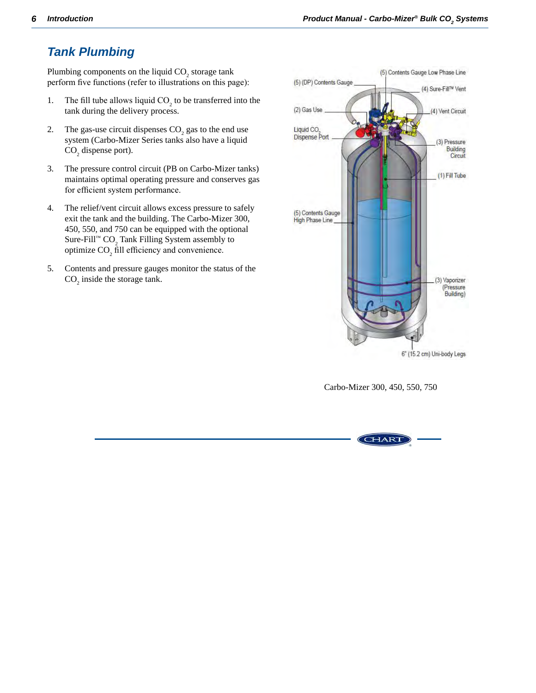## <span id="page-9-0"></span>*Tank Plumbing*

Plumbing components on the liquid  $CO_2$  storage tank perform five functions (refer to illustrations on this page):

- 1. The fill tube allows liquid  $CO_2$  to be transferred into the tank during the delivery process.
- 2. The gas-use circuit dispenses  $CO_2$  gas to the end use system (Carbo-Mizer Series tanks also have a liquid  $CO<sub>2</sub>$  dispense port).
- 3. The pressure control circuit (PB on Carbo-Mizer tanks) maintains optimal operating pressure and conserves gas for efficient system performance.
- 4. The relief/vent circuit allows excess pressure to safely exit the tank and the building. The Carbo-Mizer 300, 450, 550, and 750 can be equipped with the optional Sure-Fill™  $CO_2$  Tank Filling System assembly to optimize  $CO<sub>2</sub>$  fill efficiency and convenience.
- 5. Contents and pressure gauges monitor the status of the  $CO<sub>2</sub>$  inside the storage tank.



Carbo-Mizer 300, 450, 550, 750

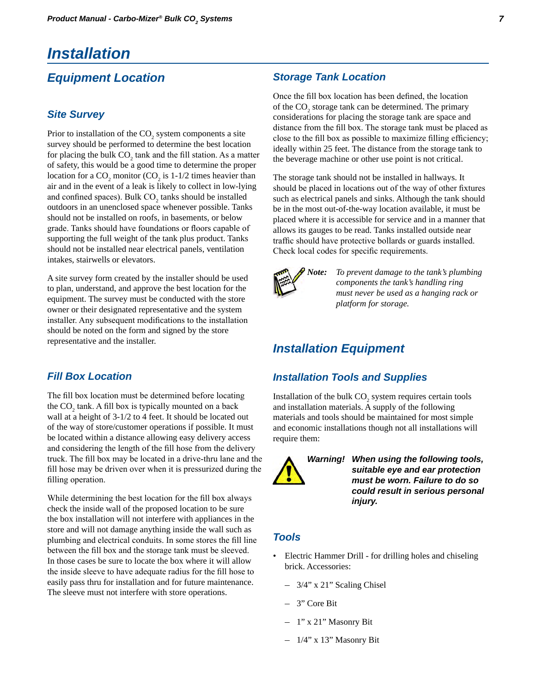## <span id="page-10-0"></span>*Installation*

### *Equipment Location*

#### *Site Survey*

Prior to installation of the  $CO_2$  system components a site survey should be performed to determine the best location for placing the bulk  $CO_2$  tank and the fill station. As a matter of safety, this would be a good time to determine the proper location for a  $CO_2$  monitor ( $CO_2$  is 1-1/2 times heavier than air and in the event of a leak is likely to collect in low-lying and confined spaces). Bulk  $CO<sub>2</sub>$  tanks should be installed outdoors in an unenclosed space whenever possible. Tanks should not be installed on roofs, in basements, or below grade. Tanks should have foundations or floors capable of supporting the full weight of the tank plus product. Tanks should not be installed near electrical panels, ventilation intakes, stairwells or elevators.

A site survey form created by the installer should be used to plan, understand, and approve the best location for the equipment. The survey must be conducted with the store owner or their designated representative and the system installer. Any subsequent modifications to the installation should be noted on the form and signed by the store representative and the installer.

#### *Fill Box Location*

The fill box location must be determined before locating the  $CO_2$  tank. A fill box is typically mounted on a back wall at a height of 3-1/2 to 4 feet. It should be located out of the way of store/customer operations if possible. It must be located within a distance allowing easy delivery access and considering the length of the fill hose from the delivery truck. The fill box may be located in a drive-thru lane and the fill hose may be driven over when it is pressurized during the filling operation.

While determining the best location for the fill box always check the inside wall of the proposed location to be sure the box installation will not interfere with appliances in the store and will not damage anything inside the wall such as plumbing and electrical conduits. In some stores the fill line between the fill box and the storage tank must be sleeved. In those cases be sure to locate the box where it will allow the inside sleeve to have adequate radius for the fill hose to easily pass thru for installation and for future maintenance. The sleeve must not interfere with store operations.

#### *Storage Tank Location*

Once the fill box location has been defined, the location of the  $CO_2$  storage tank can be determined. The primary considerations for placing the storage tank are space and distance from the fill box. The storage tank must be placed as close to the fill box as possible to maximize filling efficiency; ideally within 25 feet. The distance from the storage tank to the beverage machine or other use point is not critical.

The storage tank should not be installed in hallways. It should be placed in locations out of the way of other fixtures such as electrical panels and sinks. Although the tank should be in the most out-of-the-way location available, it must be placed where it is accessible for service and in a manner that allows its gauges to be read. Tanks installed outside near traffic should have protective bollards or guards installed. Check local codes for specific requirements.



*Note: To prevent damage to the tank's plumbing components the tank's handling ring must never be used as a hanging rack or platform for storage.*

### *Installation Equipment*

#### *Installation Tools and Supplies*

Installation of the bulk  $CO_2$  system requires certain tools and installation materials. A supply of the following materials and tools should be maintained for most simple and economic installations though not all installations will require them:



*Warning! When using the following tools, suitable eye and ear protection must be worn. Failure to do so could result in serious personal injury.*

#### *Tools*

- Electric Hammer Drill for drilling holes and chiseling brick. Accessories:
	- 3/4" x 21" Scaling Chisel
	- 3" Core Bit
	- 1" x 21" Masonry Bit
	- 1/4" x 13" Masonry Bit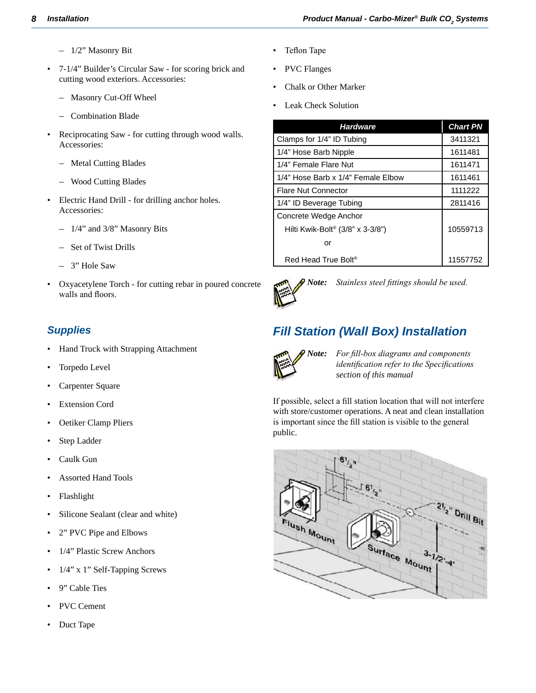- <span id="page-11-0"></span>– 1/2" Masonry Bit
- 7-1/4" Builder's Circular Saw for scoring brick and cutting wood exteriors. Accessories:
	- Masonry Cut-Off Wheel
	- Combination Blade
- Reciprocating Saw for cutting through wood walls. Accessories:
	- Metal Cutting Blades
	- Wood Cutting Blades
- Electric Hand Drill for drilling anchor holes. Accessories:
	- 1/4" and 3/8" Masonry Bits
	- Set of Twist Drills
	- 3" Hole Saw
- Oxyacetylene Torch for cutting rebar in poured concrete walls and floors.

#### *Supplies*

- Hand Truck with Strapping Attachment
- Torpedo Level
- Carpenter Square
- **Extension Cord**
- Oetiker Clamp Pliers
- Step Ladder
- Caulk Gun
- Assorted Hand Tools
- **Flashlight**
- Silicone Sealant (clear and white)
- 2" PVC Pipe and Elbows
- 1/4" Plastic Screw Anchors
- 1/4" x 1" Self-Tapping Screws
- 9" Cable Ties
- PVC Cement
- Duct Tape
- Teflon Tape
- PVC Flanges
- Chalk or Other Marker
- Leak Check Solution

| <b>Hardware</b>                              | <b>Chart PN</b> |
|----------------------------------------------|-----------------|
| Clamps for 1/4" ID Tubing                    | 3411321         |
| 1/4" Hose Barb Nipple                        | 1611481         |
| 1/4" Female Flare Nut                        | 1611471         |
| 1/4" Hose Barb x 1/4" Female Elbow           | 1611461         |
| <b>Flare Nut Connector</b>                   | 1111222         |
| 1/4" ID Beverage Tubing                      | 2811416         |
| Concrete Wedge Anchor                        |                 |
| Hilti Kwik-Bolt <sup>®</sup> (3/8" x 3-3/8") | 10559713        |
| or                                           |                 |
| Red Head True Bolt <sup>®</sup>              | 11557752        |



*Note: Stainless steel fittings should be used.*

## *Fill Station (Wall Box) Installation*



*Note: For fill-box diagrams and components identification refer to the Specifications section of this manual*

If possible, select a fill station location that will not interfere with store/customer operations. A neat and clean installation is important since the fill station is visible to the general public.

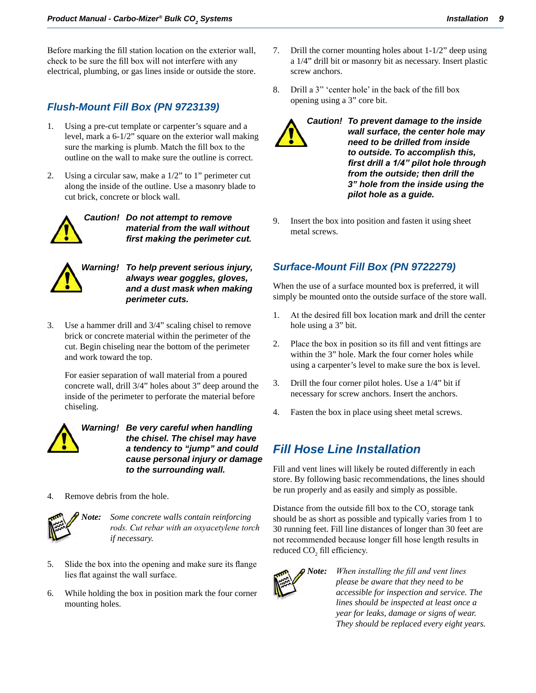<span id="page-12-0"></span>Before marking the fill station location on the exterior wall, check to be sure the fill box will not interfere with any electrical, plumbing, or gas lines inside or outside the store.

#### *Flush-Mount Fill Box (PN 9723139)*

- 1. Using a pre-cut template or carpenter's square and a level, mark a 6-1/2" square on the exterior wall making sure the marking is plumb. Match the fill box to the outline on the wall to make sure the outline is correct.
- 2. Using a circular saw, make a 1/2" to 1" perimeter cut along the inside of the outline. Use a masonry blade to cut brick, concrete or block wall.



*Caution! Do not attempt to remove material from the wall without first making the perimeter cut.*



*Warning! To help prevent serious injury, always wear goggles, gloves, and a dust mask when making perimeter cuts.*

3. Use a hammer drill and 3/4" scaling chisel to remove brick or concrete material within the perimeter of the cut. Begin chiseling near the bottom of the perimeter and work toward the top.

For easier separation of wall material from a poured concrete wall, drill 3/4" holes about 3" deep around the inside of the perimeter to perforate the material before chiseling.



*Warning! Be very careful when handling the chisel. The chisel may have a tendency to "jump" and could cause personal injury or damage to the surrounding wall.*

4. Remove debris from the hole.



*Note: Some concrete walls contain reinforcing rods. Cut rebar with an oxyacetylene torch if necessary.*

- 5. Slide the box into the opening and make sure its flange lies flat against the wall surface.
- 6. While holding the box in position mark the four corner mounting holes.
- 7. Drill the corner mounting holes about 1-1/2" deep using a 1/4" drill bit or masonry bit as necessary. Insert plastic screw anchors.
- 8. Drill a 3" 'center hole' in the back of the fill box opening using a 3" core bit.



*Caution! To prevent damage to the inside wall surface, the center hole may need to be drilled from inside to outside. To accomplish this, first drill a 1/4" pilot hole through from the outside; then drill the 3" hole from the inside using the pilot hole as a guide.*

9. Insert the box into position and fasten it using sheet metal screws.

#### *Surface-Mount Fill Box (PN 9722279)*

When the use of a surface mounted box is preferred, it will simply be mounted onto the outside surface of the store wall.

- 1. At the desired fill box location mark and drill the center hole using a 3" bit.
- 2. Place the box in position so its fill and vent fittings are within the 3" hole. Mark the four corner holes while using a carpenter's level to make sure the box is level.
- 3. Drill the four corner pilot holes. Use a 1/4" bit if necessary for screw anchors. Insert the anchors.
- 4. Fasten the box in place using sheet metal screws.

### *Fill Hose Line Installation*

Fill and vent lines will likely be routed differently in each store. By following basic recommendations, the lines should be run properly and as easily and simply as possible.

Distance from the outside fill box to the  $CO_2$  storage tank should be as short as possible and typically varies from 1 to 30 running feet. Fill line distances of longer than 30 feet are not recommended because longer fill hose length results in reduced  $CO<sub>2</sub>$  fill efficiency.



*Note: When installing the fill and vent lines please be aware that they need to be accessible for inspection and service. The lines should be inspected at least once a year for leaks, damage or signs of wear. They should be replaced every eight years.*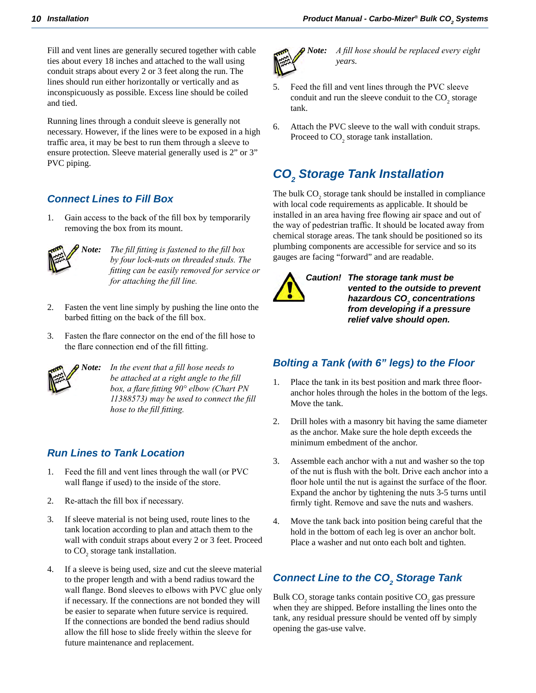<span id="page-13-0"></span>Fill and vent lines are generally secured together with cable ties about every 18 inches and attached to the wall using conduit straps about every 2 or 3 feet along the run. The lines should run either horizontally or vertically and as inconspicuously as possible. Excess line should be coiled and tied.

Running lines through a conduit sleeve is generally not necessary. However, if the lines were to be exposed in a high traffic area, it may be best to run them through a sleeve to ensure protection. Sleeve material generally used is 2" or 3" PVC piping.

#### *Connect Lines to Fill Box*

1. Gain access to the back of the fill box by temporarily removing the box from its mount.



*Note: The fill fitting is fastened to the fill box by four lock-nuts on threaded studs. The fitting can be easily removed for service or for attaching the fill line.*

- 2. Fasten the vent line simply by pushing the line onto the barbed fitting on the back of the fill box.
- 3. Fasten the flare connector on the end of the fill hose to the flare connection end of the fill fitting.



*Note: In the event that a fill hose needs to be attached at a right angle to the fill box, a flare fitting 90° elbow (Chart PN 11388573) may be used to connect the fill hose to the fill fitting.*

#### *Run Lines to Tank Location*

- 1. Feed the fill and vent lines through the wall (or PVC wall flange if used) to the inside of the store.
- 2. Re-attach the fill box if necessary.
- 3. If sleeve material is not being used, route lines to the tank location according to plan and attach them to the wall with conduit straps about every 2 or 3 feet. Proceed to  $CO_2$  storage tank installation.
- 4. If a sleeve is being used, size and cut the sleeve material to the proper length and with a bend radius toward the wall flange. Bond sleeves to elbows with PVC glue only if necessary. If the connections are not bonded they will be easier to separate when future service is required. If the connections are bonded the bend radius should allow the fill hose to slide freely within the sleeve for future maintenance and replacement.



*Note: A fill hose should be replaced every eight years.*

- 5. Feed the fill and vent lines through the PVC sleeve conduit and run the sleeve conduit to the  $CO_2$  storage tank.
- 6. Attach the PVC sleeve to the wall with conduit straps. Proceed to  $CO<sub>2</sub>$  storage tank installation.

## *CO2 Storage Tank Installation*

The bulk  $CO_2$  storage tank should be installed in compliance with local code requirements as applicable. It should be installed in an area having free flowing air space and out of the way of pedestrian traffic. It should be located away from chemical storage areas. The tank should be positioned so its plumbing components are accessible for service and so its gauges are facing "forward" and are readable.



*Caution! The storage tank must be vented to the outside to prevent hazardous CO2 concentrations from developing if a pressure relief valve should open.*

#### *Bolting a Tank (with 6" legs) to the Floor*

- 1. Place the tank in its best position and mark three flooranchor holes through the holes in the bottom of the legs. Move the tank.
- 2. Drill holes with a masonry bit having the same diameter as the anchor. Make sure the hole depth exceeds the minimum embedment of the anchor.
- 3. Assemble each anchor with a nut and washer so the top of the nut is flush with the bolt. Drive each anchor into a floor hole until the nut is against the surface of the floor. Expand the anchor by tightening the nuts 3-5 turns until firmly tight. Remove and save the nuts and washers.
- 4. Move the tank back into position being careful that the hold in the bottom of each leg is over an anchor bolt. Place a washer and nut onto each bolt and tighten.

## *Connect Line to the CO2 Storage Tank*

Bulk  $CO_2$  storage tanks contain positive  $CO_2$  gas pressure when they are shipped. Before installing the lines onto the tank, any residual pressure should be vented off by simply opening the gas-use valve.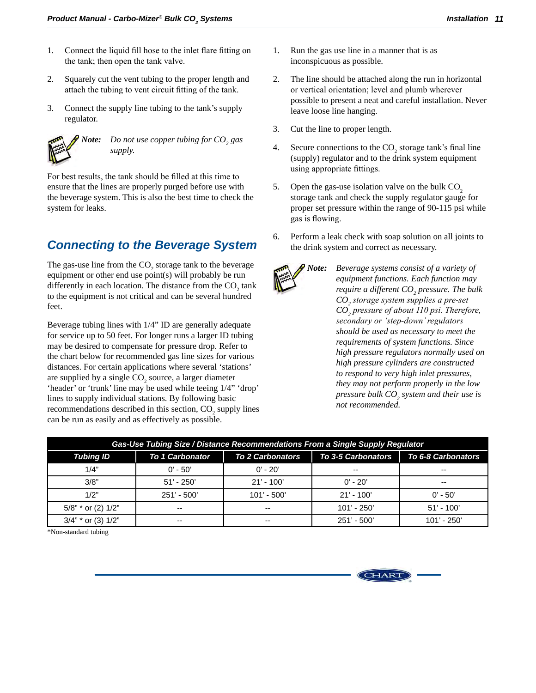- <span id="page-14-0"></span>1. Connect the liquid fill hose to the inlet flare fitting on the tank; then open the tank valve.
- 2. Squarely cut the vent tubing to the proper length and attach the tubing to vent circuit fitting of the tank.
- 3. Connect the supply line tubing to the tank's supply regulator.



*Note:* Do not use copper tubing for  $CO<sub>2</sub>$  gas *supply.*

For best results, the tank should be filled at this time to ensure that the lines are properly purged before use with the beverage system. This is also the best time to check the system for leaks.

### *Connecting to the Beverage System*

The gas-use line from the  $CO_2$  storage tank to the beverage equipment or other end use point(s) will probably be run differently in each location. The distance from the  $CO_2$  tank to the equipment is not critical and can be several hundred feet.

Beverage tubing lines with 1/4" ID are generally adequate for service up to 50 feet. For longer runs a larger ID tubing may be desired to compensate for pressure drop. Refer to the chart below for recommended gas line sizes for various distances. For certain applications where several 'stations' are supplied by a single  $CO<sub>2</sub>$  source, a larger diameter 'header' or 'trunk' line may be used while teeing 1/4" 'drop' lines to supply individual stations. By following basic recommendations described in this section,  $CO_2$  supply lines can be run as easily and as effectively as possible.

- 1. Run the gas use line in a manner that is as inconspicuous as possible.
- 2. The line should be attached along the run in horizontal or vertical orientation; level and plumb wherever possible to present a neat and careful installation. Never leave loose line hanging.
- 3. Cut the line to proper length.
- 4. Secure connections to the  $CO_2$  storage tank's final line (supply) regulator and to the drink system equipment using appropriate fittings.
- 5. Open the gas-use isolation valve on the bulk  $CO<sub>2</sub>$ storage tank and check the supply regulator gauge for proper set pressure within the range of 90-115 psi while gas is flowing.
- 6. Perform a leak check with soap solution on all joints to the drink system and correct as necessary.



*Note: Beverage systems consist of a variety of equipment functions. Each function may require a different CO2 pressure. The bulk CO2 storage system supplies a pre-set CO2 pressure of about 110 psi. Therefore, secondary or 'step-down'regulators should be used as necessary to meet the requirements of system functions. Since high pressure regulators normally used on high pressure cylinders are constructed to respond to very high inlet pressures, they may not perform properly in the low pressure bulk CO2 system and their use is not recommended.*

| Gas-Use Tubing Size / Distance Recommendations From a Single Supply Regulator |                        |                         |                           |                           |
|-------------------------------------------------------------------------------|------------------------|-------------------------|---------------------------|---------------------------|
| <b>Tubing ID</b>                                                              | <b>To 1 Carbonator</b> | <b>To 2 Carbonators</b> | <b>To 3-5 Carbonators</b> | <b>To 6-8 Carbonators</b> |
| 1/4"                                                                          | $0' - 50'$             | $0'$ - 20'              | $- -$                     | $- -$                     |
| 3/8"                                                                          | $51' - 250'$           | $21' - 100'$            | $0' - 20'$                | $- -$                     |
| 1/2"                                                                          | $251' - 500'$          | $101' - 500'$           | $21' - 100'$              | $0'$ - 50'                |
| $5/8$ " * or (2) $1/2$ "                                                      | --                     | $- -$                   | $101' - 250'$             | $51' - 100'$              |
| $3/4"$ * or (3) $1/2"$                                                        | --                     | $- -$                   | $251' - 500'$             | $101' - 250'$             |

\*Non-standard tubing

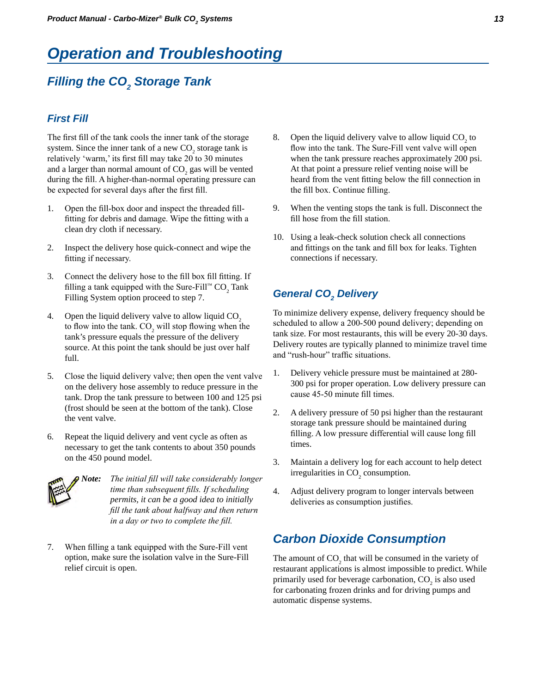## <span id="page-16-0"></span>*Operation and Troubleshooting*

## *Filling the CO2 Storage Tank*

#### *First Fill*

The first fill of the tank cools the inner tank of the storage system. Since the inner tank of a new  $CO_2$  storage tank is relatively 'warm,' its first fill may take 20 to 30 minutes and a larger than normal amount of  $CO_2$  gas will be vented during the fill. A higher-than-normal operating pressure can be expected for several days after the first fill.

- 1. Open the fill-box door and inspect the threaded fillfitting for debris and damage. Wipe the fitting with a clean dry cloth if necessary.
- 2. Inspect the delivery hose quick-connect and wipe the fitting if necessary.
- 3. Connect the delivery hose to the fill box fill fitting. If filling a tank equipped with the Sure-Fill™  $CO_2$  Tank Filling System option proceed to step 7.
- 4. Open the liquid delivery valve to allow liquid  $CO<sub>2</sub>$ to flow into the tank.  $CO_2$  will stop flowing when the tank's pressure equals the pressure of the delivery source. At this point the tank should be just over half full.
- 5. Close the liquid delivery valve; then open the vent valve on the delivery hose assembly to reduce pressure in the tank. Drop the tank pressure to between 100 and 125 psi (frost should be seen at the bottom of the tank). Close the vent valve.
- 6. Repeat the liquid delivery and vent cycle as often as necessary to get the tank contents to about 350 pounds on the 450 pound model.



*Note: The initial fill will take considerably longer time than subsequent fills. If scheduling permits, it can be a good idea to initially fill the tank about halfway and then return in a day or two to complete the fill.*

7. When filling a tank equipped with the Sure-Fill vent option, make sure the isolation valve in the Sure-Fill relief circuit is open.

- 8. Open the liquid delivery valve to allow liquid  $CO<sub>2</sub>$  to flow into the tank. The Sure-Fill vent valve will open when the tank pressure reaches approximately 200 psi. At that point a pressure relief venting noise will be heard from the vent fitting below the fill connection in the fill box. Continue filling.
- 9. When the venting stops the tank is full. Disconnect the fill hose from the fill station.
- 10. Using a leak-check solution check all connections and fittings on the tank and fill box for leaks. Tighten connections if necessary.

## General CO<sub>2</sub> Delivery

To minimize delivery expense, delivery frequency should be scheduled to allow a 200-500 pound delivery; depending on tank size. For most restaurants, this will be every 20-30 days. Delivery routes are typically planned to minimize travel time and "rush-hour" traffic situations.

- 1. Delivery vehicle pressure must be maintained at 280- 300 psi for proper operation. Low delivery pressure can cause 45-50 minute fill times.
- 2. A delivery pressure of 50 psi higher than the restaurant storage tank pressure should be maintained during filling. A low pressure differential will cause long fill times.
- 3. Maintain a delivery log for each account to help detect irregularities in  $CO_2$  consumption.
- 4. Adjust delivery program to longer intervals between deliveries as consumption justifies.

### *Carbon Dioxide Consumption*

The amount of  $CO<sub>2</sub>$  that will be consumed in the variety of restaurant applications is almost impossible to predict. While primarily used for beverage carbonation,  $CO_2$  is also used for carbonating frozen drinks and for driving pumps and automatic dispense systems.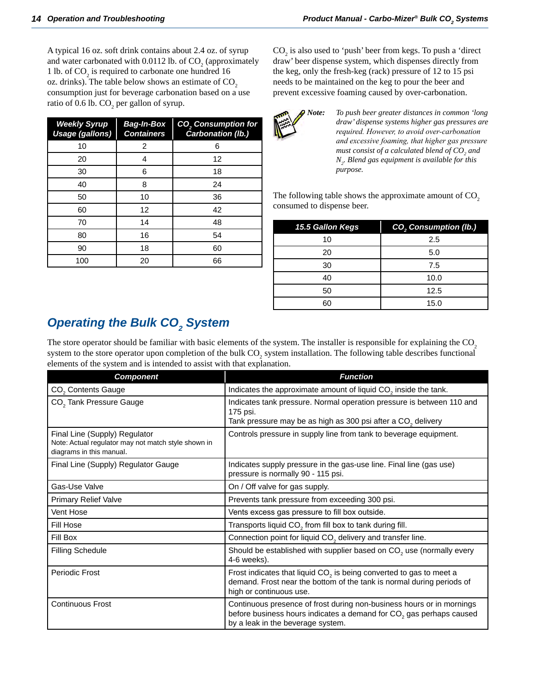<span id="page-17-0"></span>A typical 16 oz. soft drink contains about 2.4 oz. of syrup and water carbonated with 0.0112 lb. of  $CO_2$  (approximately 1 lb. of  $CO_2$  is required to carbonate one hundred 16 oz. drinks). The table below shows an estimate of  $CO<sub>2</sub>$ consumption just for beverage carbonation based on a use ratio of 0.6 lb.  $\text{CO}_2$  per gallon of syrup.

| <b>Weekly Syrup</b><br><b>Usage (gallons)</b> | <b>Bag-In-Box</b><br><b>Containers</b> | <b>CO<sub>2</sub></b> Consumption for<br>Carbonation (lb.) |
|-----------------------------------------------|----------------------------------------|------------------------------------------------------------|
| 10                                            | 2                                      | 6                                                          |
| 20                                            | 4                                      | 12                                                         |
| 30                                            | 6                                      | 18                                                         |
| 40                                            | 8                                      | 24                                                         |
| 50                                            | 10                                     | 36                                                         |
| 60                                            | 12                                     | 42                                                         |
| 70                                            | 14                                     | 48                                                         |
| 80                                            | 16                                     | 54                                                         |
| 90                                            | 18                                     | 60                                                         |
| 100                                           | 20                                     | 66                                                         |

 $\text{CO}_2$  is also used to 'push' beer from kegs. To push a 'direct draw' beer dispense system, which dispenses directly from the keg, only the fresh-keg (rack) pressure of 12 to 15 psi needs to be maintained on the keg to pour the beer and prevent excessive foaming caused by over-carbonation.



*Note: To push beer greater distances in common 'long draw' dispense systems higher gas pressures are required. However, to avoid over-carbonation and excessive foaming, that higher gas pressure* must consist of a calculated blend of  $CO_{_2}$  and *N2 . Blend gas equipment is available for this purpose.*

The following table shows the approximate amount of  $CO<sub>2</sub>$ consumed to dispense beer.

| CO <sub>2</sub> Consumption (Ib.) |
|-----------------------------------|
| 2.5                               |
| 5.0                               |
| 7.5                               |
| 10.0                              |
| 12.5                              |
| 15.0                              |
|                                   |

## *Operating the Bulk CO<sub>2</sub> System*

The store operator should be familiar with basic elements of the system. The installer is responsible for explaining the CO<sub>2</sub> system to the store operator upon completion of the bulk  $CO_2$  system installation. The following table describes functional elements of the system and is intended to assist with that explanation.

| <b>Component</b>                                                                                                 | <b>Function</b>                                                                                                                                                                               |
|------------------------------------------------------------------------------------------------------------------|-----------------------------------------------------------------------------------------------------------------------------------------------------------------------------------------------|
| CO <sub>2</sub> Contents Gauge                                                                                   | Indicates the approximate amount of liquid CO <sub>2</sub> inside the tank.                                                                                                                   |
| CO <sub>2</sub> Tank Pressure Gauge                                                                              | Indicates tank pressure. Normal operation pressure is between 110 and<br>175 psi.<br>Tank pressure may be as high as 300 psi after a $CO2$ delivery                                           |
| Final Line (Supply) Regulator<br>Note: Actual regulator may not match style shown in<br>diagrams in this manual. | Controls pressure in supply line from tank to beverage equipment.                                                                                                                             |
| Final Line (Supply) Regulator Gauge                                                                              | Indicates supply pressure in the gas-use line. Final line (gas use)<br>pressure is normally 90 - 115 psi.                                                                                     |
| Gas-Use Valve                                                                                                    | On / Off valve for gas supply.                                                                                                                                                                |
| <b>Primary Relief Valve</b>                                                                                      | Prevents tank pressure from exceeding 300 psi.                                                                                                                                                |
| Vent Hose                                                                                                        | Vents excess gas pressure to fill box outside.                                                                                                                                                |
| Fill Hose                                                                                                        | Transports liquid CO <sub>2</sub> from fill box to tank during fill.                                                                                                                          |
| Fill Box                                                                                                         | Connection point for liquid CO <sub>2</sub> delivery and transfer line.                                                                                                                       |
| <b>Filling Schedule</b>                                                                                          | Should be established with supplier based on CO <sub>2</sub> use (normally every<br>4-6 weeks).                                                                                               |
| Periodic Frost                                                                                                   | Frost indicates that liquid CO <sub>2</sub> is being converted to gas to meet a<br>demand. Frost near the bottom of the tank is normal during periods of<br>high or continuous use.           |
| <b>Continuous Frost</b>                                                                                          | Continuous presence of frost during non-business hours or in mornings<br>before business hours indicates a demand for CO <sub>2</sub> gas perhaps caused<br>by a leak in the beverage system. |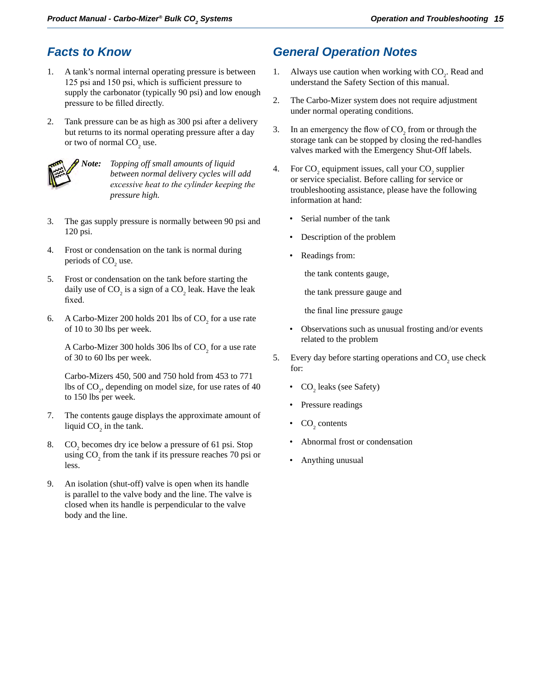## <span id="page-18-0"></span>*Facts to Know*

- 1. A tank's normal internal operating pressure is between 125 psi and 150 psi, which is sufficient pressure to supply the carbonator (typically 90 psi) and low enough pressure to be filled directly.
- 2. Tank pressure can be as high as 300 psi after a delivery but returns to its normal operating pressure after a day or two of normal  $CO<sub>2</sub>$  use.



*Note: Topping off small amounts of liquid between normal delivery cycles will add excessive heat to the cylinder keeping the pressure high.*

- 3. The gas supply pressure is normally between 90 psi and 120 psi.
- 4. Frost or condensation on the tank is normal during periods of  $CO<sub>2</sub>$  use.
- 5. Frost or condensation on the tank before starting the daily use of  $CO_2$  is a sign of a  $CO_2$  leak. Have the leak fixed.
- 6. A Carbo-Mizer 200 holds 201 lbs of  $CO_2$  for a use rate of 10 to 30 lbs per week.

A Carbo-Mizer 300 holds 306 lbs of  $CO_2$  for a use rate of 30 to 60 lbs per week.

Carbo-Mizers 450, 500 and 750 hold from 453 to 771 lbs of  $CO_2$ , depending on model size, for use rates of 40 to 150 lbs per week.

- 7. The contents gauge displays the approximate amount of liquid  $CO_2$  in the tank.
- 8.  $CO_2$  becomes dry ice below a pressure of 61 psi. Stop using  $CO_2$  from the tank if its pressure reaches 70 psi or less.
- 9. An isolation (shut-off) valve is open when its handle is parallel to the valve body and the line. The valve is closed when its handle is perpendicular to the valve body and the line.

## *General Operation Notes*

- 1. Always use caution when working with  $CO_2$ . Read and understand the Safety Section of this manual.
- 2. The Carbo-Mizer system does not require adjustment under normal operating conditions.
- 3. In an emergency the flow of  $CO_2$  from or through the storage tank can be stopped by closing the red-handles valves marked with the Emergency Shut-Off labels.
- 4. For  $CO_2$  equipment issues, call your  $CO_2$  supplier or service specialist. Before calling for service or troubleshooting assistance, please have the following information at hand:
	- Serial number of the tank
	- Description of the problem
	- Readings from:

the tank contents gauge,

the tank pressure gauge and

the final line pressure gauge

- Observations such as unusual frosting and/or events related to the problem
- 5. Every day before starting operations and  $CO_2$  use check for:
	- $CO<sub>2</sub>$  leaks (see Safety)
	- Pressure readings
	- $CO<sub>2</sub>$  contents
	- Abnormal frost or condensation
	- Anything unusual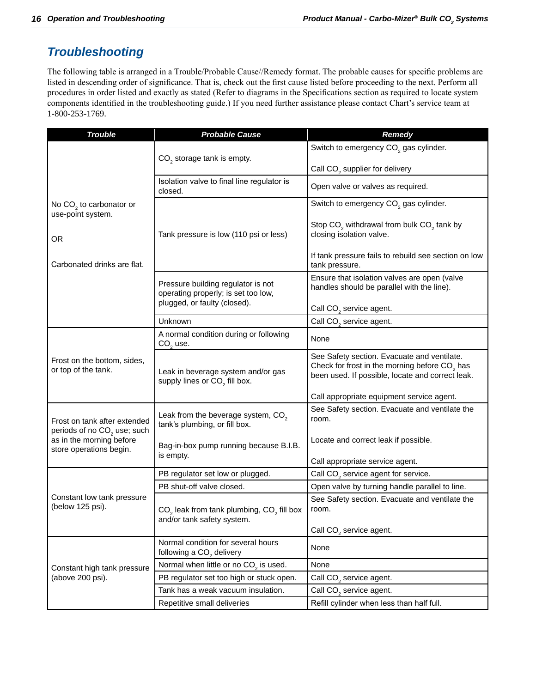## <span id="page-19-0"></span>*Troubleshooting*

The following table is arranged in a Trouble/Probable Cause//Remedy format. The probable causes for specific problems are listed in descending order of significance. That is, check out the first cause listed before proceeding to the next. Perform all procedures in order listed and exactly as stated (Refer to diagrams in the Specifications section as required to locate system components identified in the troubleshooting guide.) If you need further assistance please contact Chart's service team at 1-800-253-1769.

| <b>Trouble</b>                                      | <b>Probable Cause</b>                                                           | <b>Remedy</b>                                                                                 |  |
|-----------------------------------------------------|---------------------------------------------------------------------------------|-----------------------------------------------------------------------------------------------|--|
|                                                     |                                                                                 | Switch to emergency CO <sub>2</sub> gas cylinder.                                             |  |
|                                                     | $CO2$ storage tank is empty.                                                    |                                                                                               |  |
|                                                     |                                                                                 | Call CO <sub>2</sub> supplier for delivery                                                    |  |
|                                                     | Isolation valve to final line regulator is<br>closed.                           | Open valve or valves as required.                                                             |  |
| No $CO2$ to carbonator or                           |                                                                                 | Switch to emergency CO <sub>2</sub> gas cylinder.                                             |  |
| use-point system.                                   |                                                                                 |                                                                                               |  |
|                                                     | Tank pressure is low (110 psi or less)                                          | Stop CO <sub>2</sub> withdrawal from bulk CO <sub>2</sub> tank by<br>closing isolation valve. |  |
| <b>OR</b>                                           |                                                                                 |                                                                                               |  |
| Carbonated drinks are flat.                         |                                                                                 | If tank pressure fails to rebuild see section on low<br>tank pressure.                        |  |
|                                                     | Pressure building regulator is not                                              | Ensure that isolation valves are open (valve                                                  |  |
|                                                     | operating properly; is set too low,                                             | handles should be parallel with the line).                                                    |  |
|                                                     | plugged, or faulty (closed).                                                    | Call CO <sub>2</sub> service agent.                                                           |  |
|                                                     | Unknown                                                                         | Call CO <sub>2</sub> service agent.                                                           |  |
|                                                     | A normal condition during or following                                          |                                                                                               |  |
|                                                     | $CO2$ use.                                                                      | None                                                                                          |  |
| Frost on the bottom, sides,                         |                                                                                 | See Safety section. Evacuate and ventilate.                                                   |  |
| or top of the tank.                                 | Leak in beverage system and/or gas                                              | Check for frost in the morning before CO <sub>2</sub> has                                     |  |
|                                                     | supply lines or CO <sub>2</sub> fill box.                                       | been used. If possible, locate and correct leak.                                              |  |
|                                                     |                                                                                 | Call appropriate equipment service agent.                                                     |  |
|                                                     |                                                                                 | See Safety section. Evacuate and ventilate the                                                |  |
| Frost on tank after extended                        | Leak from the beverage system, CO <sub>2</sub><br>tank's plumbing, or fill box. | room.                                                                                         |  |
| periods of no CO <sub>2</sub> use; such             |                                                                                 |                                                                                               |  |
| as in the morning before<br>store operations begin. | Bag-in-box pump running because B.I.B.                                          | Locate and correct leak if possible.                                                          |  |
|                                                     | is empty.                                                                       | Call appropriate service agent.                                                               |  |
|                                                     | PB regulator set low or plugged.                                                | Call CO <sub>2</sub> service agent for service.                                               |  |
|                                                     | PB shut-off valve closed.                                                       | Open valve by turning handle parallel to line.                                                |  |
| Constant low tank pressure                          |                                                                                 | See Safety section. Evacuate and ventilate the                                                |  |
| (below 125 psi).                                    | $CO2$ leak from tank plumbing, $CO2$ fill box                                   | room.                                                                                         |  |
|                                                     | and/or tank safety system.                                                      |                                                                                               |  |
|                                                     | Normal condition for several hours                                              | Call CO <sub>2</sub> service agent.                                                           |  |
|                                                     | following a CO <sub>2</sub> delivery                                            | None                                                                                          |  |
| Constant high tank pressure                         | Normal when little or no CO <sub>2</sub> is used.                               | None                                                                                          |  |
| (above 200 psi).                                    | PB regulator set too high or stuck open.                                        | Call CO <sub>2</sub> service agent.                                                           |  |
|                                                     | Tank has a weak vacuum insulation.                                              | Call CO <sub>2</sub> service agent.                                                           |  |
|                                                     | Repetitive small deliveries                                                     | Refill cylinder when less than half full.                                                     |  |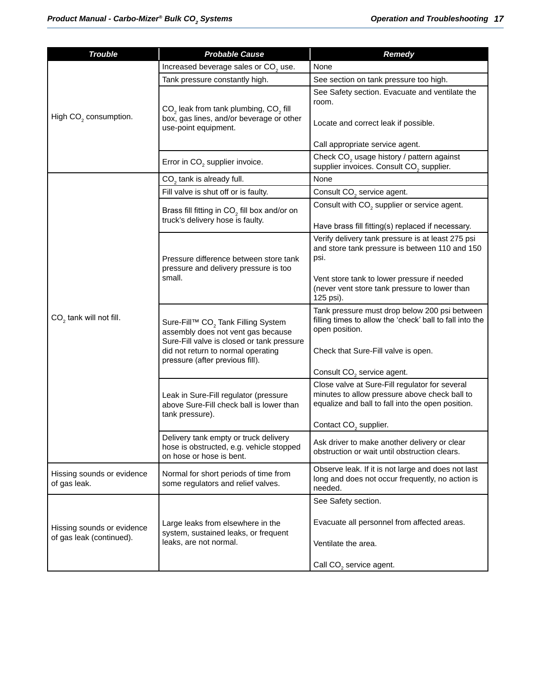| <b>Trouble</b>                                         | <b>Probable Cause</b>                                                                                                                                                                                       | <b>Remedy</b>                                                                                                                                        |  |
|--------------------------------------------------------|-------------------------------------------------------------------------------------------------------------------------------------------------------------------------------------------------------------|------------------------------------------------------------------------------------------------------------------------------------------------------|--|
|                                                        | Increased beverage sales or CO <sub>2</sub> use.                                                                                                                                                            | None                                                                                                                                                 |  |
|                                                        | Tank pressure constantly high.                                                                                                                                                                              | See section on tank pressure too high.                                                                                                               |  |
| High CO <sub>2</sub> consumption.                      | CO <sub>2</sub> leak from tank plumbing, CO <sub>2</sub> fill                                                                                                                                               | See Safety section. Evacuate and ventilate the<br>room.                                                                                              |  |
|                                                        | box, gas lines, and/or beverage or other<br>use-point equipment.                                                                                                                                            | Locate and correct leak if possible.                                                                                                                 |  |
|                                                        |                                                                                                                                                                                                             | Call appropriate service agent.                                                                                                                      |  |
|                                                        | Error in CO <sub>2</sub> supplier invoice.                                                                                                                                                                  | Check CO <sub>2</sub> usage history / pattern against<br>supplier invoices. Consult CO <sub>2</sub> supplier.                                        |  |
|                                                        | $CO2$ tank is already full.                                                                                                                                                                                 | None                                                                                                                                                 |  |
|                                                        | Fill valve is shut off or is faulty.                                                                                                                                                                        | Consult CO <sub>2</sub> service agent.                                                                                                               |  |
|                                                        | Brass fill fitting in $CO2$ fill box and/or on<br>truck's delivery hose is faulty.                                                                                                                          | Consult with CO <sub>2</sub> supplier or service agent.                                                                                              |  |
|                                                        |                                                                                                                                                                                                             | Have brass fill fitting(s) replaced if necessary.                                                                                                    |  |
|                                                        | Pressure difference between store tank<br>pressure and delivery pressure is too                                                                                                                             | Verify delivery tank pressure is at least 275 psi<br>and store tank pressure is between 110 and 150<br>psi.                                          |  |
|                                                        | small.                                                                                                                                                                                                      | Vent store tank to lower pressure if needed<br>(never vent store tank pressure to lower than<br>125 psi).                                            |  |
| $CO2$ tank will not fill.                              | Sure-Fill™ CO <sub>2</sub> Tank Filling System<br>assembly does not vent gas because<br>Sure-Fill valve is closed or tank pressure<br>did not return to normal operating<br>pressure (after previous fill). | Tank pressure must drop below 200 psi between<br>filling times to allow the 'check' ball to fall into the<br>open position.                          |  |
|                                                        |                                                                                                                                                                                                             | Check that Sure-Fill valve is open.                                                                                                                  |  |
|                                                        |                                                                                                                                                                                                             | Consult CO <sub>2</sub> service agent.                                                                                                               |  |
|                                                        | Leak in Sure-Fill regulator (pressure<br>above Sure-Fill check ball is lower than<br>tank pressure).                                                                                                        | Close valve at Sure-Fill regulator for several<br>minutes to allow pressure above check ball to<br>equalize and ball to fall into the open position. |  |
|                                                        |                                                                                                                                                                                                             | Contact CO <sub>2</sub> supplier.                                                                                                                    |  |
|                                                        | Delivery tank empty or truck delivery<br>hose is obstructed, e.g. vehicle stopped<br>on hose or hose is bent.                                                                                               | Ask driver to make another delivery or clear<br>obstruction or wait until obstruction clears.                                                        |  |
| Hissing sounds or evidence<br>of gas leak.             | Normal for short periods of time from<br>some regulators and relief valves.                                                                                                                                 | Observe leak. If it is not large and does not last<br>long and does not occur frequently, no action is<br>needed.                                    |  |
|                                                        |                                                                                                                                                                                                             | See Safety section.                                                                                                                                  |  |
| Hissing sounds or evidence<br>of gas leak (continued). | Large leaks from elsewhere in the<br>system, sustained leaks, or frequent                                                                                                                                   | Evacuate all personnel from affected areas.                                                                                                          |  |
|                                                        | leaks, are not normal.                                                                                                                                                                                      | Ventilate the area.                                                                                                                                  |  |
|                                                        |                                                                                                                                                                                                             | Call CO <sub>2</sub> service agent.                                                                                                                  |  |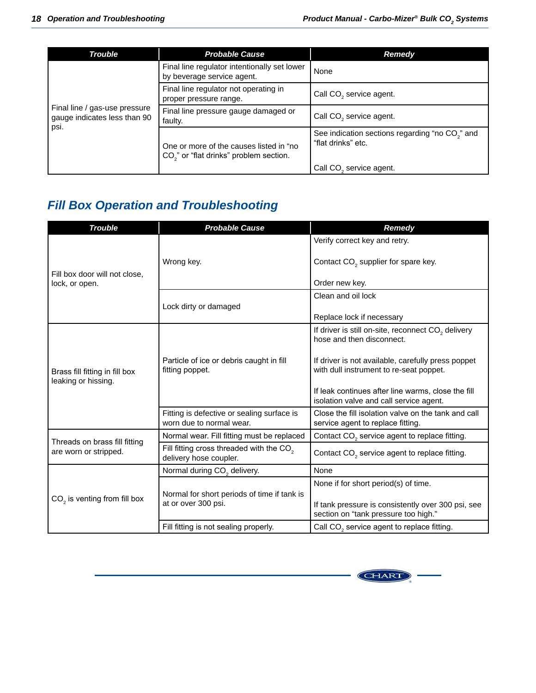<span id="page-21-0"></span>

| <b>Trouble</b>                                                          | <b>Probable Cause</b>                                                                          | <b>Remedy</b>                                                                     |
|-------------------------------------------------------------------------|------------------------------------------------------------------------------------------------|-----------------------------------------------------------------------------------|
| Final line / gas-use pressure<br>gauge indicates less than 90<br>  psi. | Final line regulator intentionally set lower<br>by beverage service agent.                     | None                                                                              |
|                                                                         | Final line regulator not operating in<br>proper pressure range.                                | Call CO <sub>2</sub> service agent.                                               |
|                                                                         | Final line pressure gauge damaged or<br>faulty.                                                | Call CO <sub>2</sub> service agent.                                               |
|                                                                         | One or more of the causes listed in "no<br>CO <sub>2</sub> " or "flat drinks" problem section. | See indication sections regarding "no CO <sub>2</sub> " and<br>"flat drinks" etc. |
|                                                                         |                                                                                                | Call CO <sub>2</sub> service agent.                                               |

## *Fill Box Operation and Troubleshooting*

| <b>Trouble</b>                                        | <b>Probable Cause</b>                                                          | <b>Remedy</b>                                                                                                                      |  |
|-------------------------------------------------------|--------------------------------------------------------------------------------|------------------------------------------------------------------------------------------------------------------------------------|--|
|                                                       |                                                                                | Verify correct key and retry.                                                                                                      |  |
| Fill box door will not close,                         | Wrong key.                                                                     | Contact CO <sub>2</sub> supplier for spare key.                                                                                    |  |
| lock, or open.                                        |                                                                                | Order new key.                                                                                                                     |  |
|                                                       |                                                                                | Clean and oil lock                                                                                                                 |  |
|                                                       | Lock dirty or damaged                                                          | Replace lock if necessary                                                                                                          |  |
|                                                       |                                                                                | If driver is still on-site, reconnect CO <sub>2</sub> delivery<br>hose and then disconnect.                                        |  |
| Brass fill fitting in fill box<br>leaking or hissing. | Particle of ice or debris caught in fill<br>fitting poppet.                    | If driver is not available, carefully press poppet<br>with dull instrument to re-seat poppet.                                      |  |
|                                                       |                                                                                | If leak continues after line warms, close the fill<br>isolation valve and call service agent.                                      |  |
|                                                       | Fitting is defective or sealing surface is<br>worn due to normal wear.         | Close the fill isolation valve on the tank and call<br>service agent to replace fitting.                                           |  |
| Threads on brass fill fitting                         | Normal wear. Fill fitting must be replaced                                     | Contact $CO2$ service agent to replace fitting.                                                                                    |  |
| are worn or stripped.                                 | Fill fitting cross threaded with the CO <sub>2</sub><br>delivery hose coupler. | Contact CO <sub>2</sub> service agent to replace fitting.                                                                          |  |
|                                                       | Normal during CO <sub>2</sub> delivery.                                        | None                                                                                                                               |  |
| $CO2$ is venting from fill box                        | Normal for short periods of time if tank is<br>at or over 300 psi.             | None if for short period(s) of time.<br>If tank pressure is consistently over 300 psi, see<br>section on "tank pressure too high." |  |
|                                                       | Fill fitting is not sealing properly.                                          | Call CO <sub>2</sub> service agent to replace fitting.                                                                             |  |

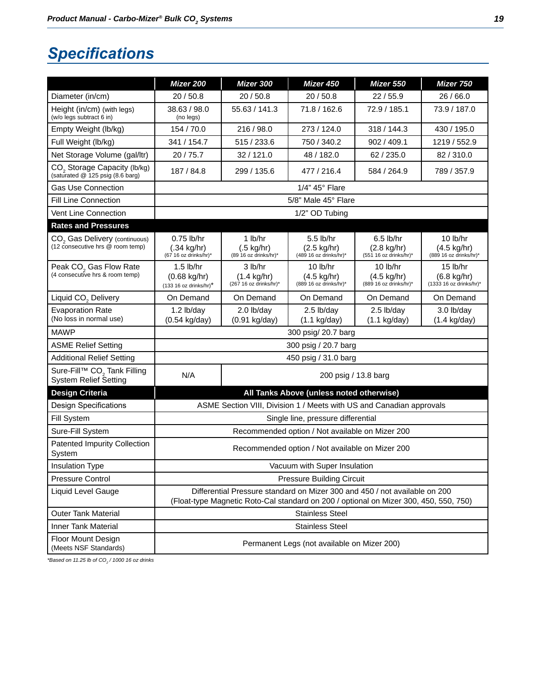## <span id="page-22-0"></span>*Specifications*

|                                                                         | Mizer 200                                                                                                                                                           | Mizer 300                                                    | Mizer 450                                                       | Mizer 550                                                     | Mizer 750                                                      |
|-------------------------------------------------------------------------|---------------------------------------------------------------------------------------------------------------------------------------------------------------------|--------------------------------------------------------------|-----------------------------------------------------------------|---------------------------------------------------------------|----------------------------------------------------------------|
| Diameter (in/cm)                                                        | 20 / 50.8<br>20 / 50.8                                                                                                                                              |                                                              | 20/50.8                                                         | 22/55.9                                                       | 26 / 66.0                                                      |
| Height (in/cm) (with legs)<br>(w/o legs subtract 6 in)                  | 38.63 / 98.0<br>(no legs)                                                                                                                                           | 55.63 / 141.3                                                | 71.8 / 162.6                                                    | 72.9 / 185.1                                                  | 73.9 / 187.0                                                   |
| Empty Weight (lb/kg)                                                    | 154 / 70.0                                                                                                                                                          | 216 / 98.0                                                   | 273 / 124.0                                                     | 318 / 144.3                                                   | 430 / 195.0                                                    |
| Full Weight (lb/kg)                                                     | 341 / 154.7                                                                                                                                                         | 515 / 233.6                                                  | 750 / 340.2                                                     | 902 / 409.1                                                   | 1219 / 552.9                                                   |
| Net Storage Volume (gal/ltr)                                            | 20/75.7                                                                                                                                                             | 32/121.0                                                     | 48 / 182.0                                                      | 62 / 235.0                                                    | 82/310.0                                                       |
| $CO2$ Storage Capacity (lb/kg) (saturated @ 125 psig (8.6 barg)         | 187 / 84.8                                                                                                                                                          | 299 / 135.6                                                  | 477 / 216.4                                                     | 584 / 264.9                                                   | 789 / 357.9                                                    |
| <b>Gas Use Connection</b>                                               |                                                                                                                                                                     |                                                              | 1/4" 45° Flare                                                  |                                                               |                                                                |
| <b>Fill Line Connection</b>                                             |                                                                                                                                                                     |                                                              | 5/8" Male 45° Flare                                             |                                                               |                                                                |
| Vent Line Connection                                                    |                                                                                                                                                                     |                                                              | 1/2" OD Tubing                                                  |                                                               |                                                                |
| <b>Rates and Pressures</b>                                              |                                                                                                                                                                     |                                                              |                                                                 |                                                               |                                                                |
| $CO2$ Gas Delivery (continuous)<br>(12 consecutive hrs @ room temp)     | 0.75 lb/hr<br>$(.34 \text{ kg/hr})$<br>(67 16 oz drinks/hr)*                                                                                                        | 1 lb/hr<br>$(.5 \text{ kg/hr})$<br>(89 16 oz drinks/hr)*     | 5.5 lb/hr<br>(2.5 kg/hr)<br>(489 16 oz drinks/hr)*              | $6.5$ lb/hr<br>(2.8 kg/hr)<br>(551 16 oz drinks/hr)*          | 10 lb/hr<br>(4.5 kg/hr)<br>(889 16 oz drinks/hr)*              |
| Peak CO <sub>2</sub> Gas Flow Rate<br>(4 consecutive hrs & room temp)   | $1.5$ lb/hr<br>$(0.68 \text{ kg/hr})$<br>$(133 16 oz drinks/hr)^*$                                                                                                  | 3 lb/hr<br>$(1.4 \text{ kg/hr})$<br>$(267 16$ oz drinks/hr)* | $10$ lb/hr<br>$(4.5 \text{ kg/hr})$<br>$(889 16 oz$ drinks/hr)* | $10$ lb/hr<br>$(4.5 \text{ kg/hr})$<br>(889 16 oz drinks/hr)* | 15 lb/hr<br>$(6.8 \text{ kg/hr})$<br>$(1333 16$ oz drinks/hr)* |
| Liquid CO <sub>2</sub> Delivery                                         | On Demand                                                                                                                                                           | On Demand                                                    | On Demand                                                       | On Demand                                                     | On Demand                                                      |
| <b>Evaporation Rate</b><br>(No loss in normal use)                      | $1.2$ lb/day<br>(0.54 kg/day)                                                                                                                                       | 2.0 lb/day<br>$(0.91$ kg/day)                                | 2.5 lb/day<br>$(1.1$ kg/day)                                    | 2.5 lb/day<br>$(1.1$ kg/day)                                  | 3.0 lb/day<br>$(1.4 \text{ kg/day})$                           |
| MAWP                                                                    | 300 psig/ 20.7 barg                                                                                                                                                 |                                                              |                                                                 |                                                               |                                                                |
| <b>ASME Relief Setting</b>                                              | 300 psig / 20.7 barg                                                                                                                                                |                                                              |                                                                 |                                                               |                                                                |
| <b>Additional Relief Setting</b>                                        |                                                                                                                                                                     |                                                              | 450 psig / 31.0 barg                                            |                                                               |                                                                |
| Sure-Fill™ CO <sub>2</sub> Tank Filling<br><b>System Relief Setting</b> | N/A<br>200 psig / 13.8 barg                                                                                                                                         |                                                              |                                                                 |                                                               |                                                                |
| <b>Design Criteria</b>                                                  | All Tanks Above (unless noted otherwise)                                                                                                                            |                                                              |                                                                 |                                                               |                                                                |
| <b>Design Specifications</b>                                            | ASME Section VIII, Division 1 / Meets with US and Canadian approvals                                                                                                |                                                              |                                                                 |                                                               |                                                                |
| Fill System                                                             | Single line, pressure differential                                                                                                                                  |                                                              |                                                                 |                                                               |                                                                |
| Sure-Fill System                                                        | Recommended option / Not available on Mizer 200                                                                                                                     |                                                              |                                                                 |                                                               |                                                                |
| <b>Patented Impurity Collection</b><br>System                           | Recommended option / Not available on Mizer 200                                                                                                                     |                                                              |                                                                 |                                                               |                                                                |
| <b>Insulation Type</b>                                                  | Vacuum with Super Insulation                                                                                                                                        |                                                              |                                                                 |                                                               |                                                                |
| <b>Pressure Control</b>                                                 | <b>Pressure Building Circuit</b>                                                                                                                                    |                                                              |                                                                 |                                                               |                                                                |
| Liquid Level Gauge                                                      | Differential Pressure standard on Mizer 300 and 450 / not available on 200<br>(Float-type Magnetic Roto-Cal standard on 200 / optional on Mizer 300, 450, 550, 750) |                                                              |                                                                 |                                                               |                                                                |
| <b>Outer Tank Material</b>                                              | <b>Stainless Steel</b>                                                                                                                                              |                                                              |                                                                 |                                                               |                                                                |
| <b>Inner Tank Material</b>                                              | <b>Stainless Steel</b>                                                                                                                                              |                                                              |                                                                 |                                                               |                                                                |
| Floor Mount Design<br>(Meets NSF Standards)                             | Permanent Legs (not available on Mizer 200)                                                                                                                         |                                                              |                                                                 |                                                               |                                                                |

*\*Based on 11.25 lb of CO2 / 1000 16 oz drinks*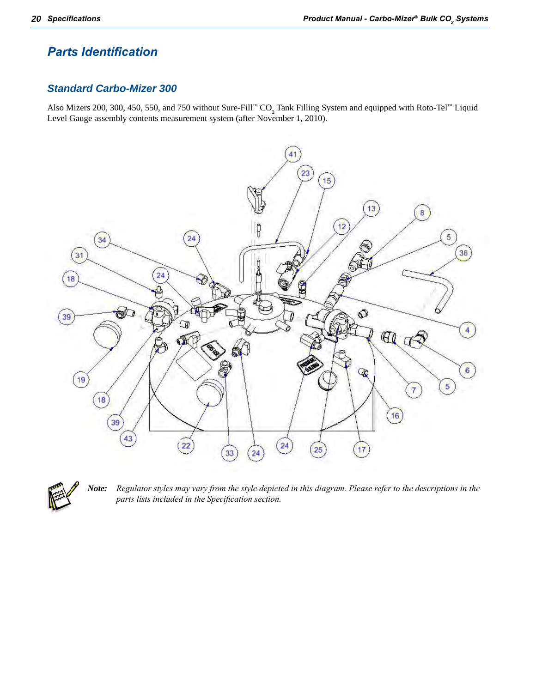### <span id="page-23-0"></span>*Parts Identification*

#### *Standard Carbo-Mizer 300*

Also Mizers 200, 300, 450, 550, and 750 without Sure-Fill™  $CO_2$  Tank Filling System and equipped with Roto-Tel™ Liquid Level Gauge assembly contents measurement system (after November 1, 2010).





Note: Regulator styles may vary from the style depicted in this diagram. Please refer to the descriptions in the *parts lists included in the Specification section.*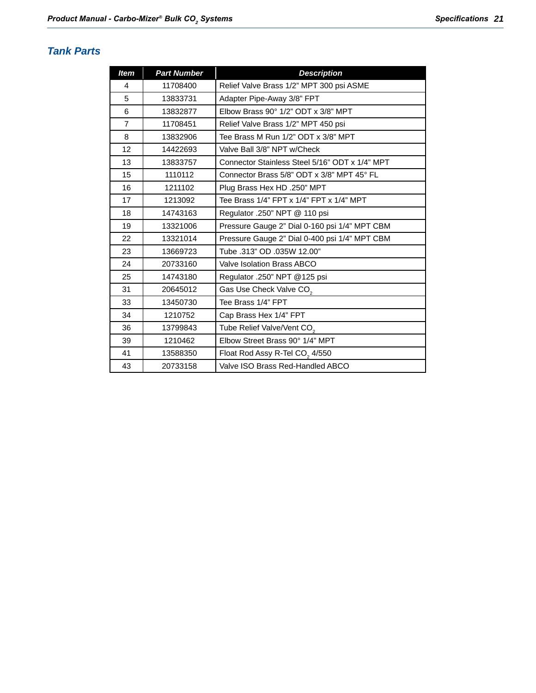### <span id="page-24-0"></span>*Tank Parts*

| <b>Item</b>    | <b>Part Number</b> | <b>Description</b>                             |
|----------------|--------------------|------------------------------------------------|
| 4              | 11708400           | Relief Valve Brass 1/2" MPT 300 psi ASME       |
| 5              | 13833731           | Adapter Pipe-Away 3/8" FPT                     |
| 6              | 13832877           | Elbow Brass 90° 1/2" ODT x 3/8" MPT            |
| $\overline{7}$ | 11708451           | Relief Valve Brass 1/2" MPT 450 psi            |
| 8              | 13832906           | Tee Brass M Run 1/2" ODT x 3/8" MPT            |
| 12             | 14422693           | Valve Ball 3/8" NPT w/Check                    |
| 13             | 13833757           | Connector Stainless Steel 5/16" ODT x 1/4" MPT |
| 15             | 1110112            | Connector Brass 5/8" ODT x 3/8" MPT 45° FL     |
| 16             | 1211102            | Plug Brass Hex HD .250" MPT                    |
| 17             | 1213092            | Tee Brass 1/4" FPT x 1/4" FPT x 1/4" MPT       |
| 18             | 14743163           | Regulator .250" NPT @ 110 psi                  |
| 19             | 13321006           | Pressure Gauge 2" Dial 0-160 psi 1/4" MPT CBM  |
| 22             | 13321014           | Pressure Gauge 2" Dial 0-400 psi 1/4" MPT CBM  |
| 23             | 13669723           | Tube .313" OD .035W 12.00"                     |
| 24             | 20733160           | Valve Isolation Brass ABCO                     |
| 25             | 14743180           | Regulator .250" NPT @125 psi                   |
| 31             | 20645012           | Gas Use Check Valve CO <sub>2</sub>            |
| 33             | 13450730           | Tee Brass 1/4" FPT                             |
| 34             | 1210752            | Cap Brass Hex 1/4" FPT                         |
| 36             | 13799843           | Tube Relief Valve/Vent CO <sub>2</sub>         |
| 39             | 1210462            | Elbow Street Brass 90° 1/4" MPT                |
| 41             | 13588350           | Float Rod Assy R-Tel CO <sub>2</sub> 4/550     |
| 43             | 20733158           | Valve ISO Brass Red-Handled ABCO               |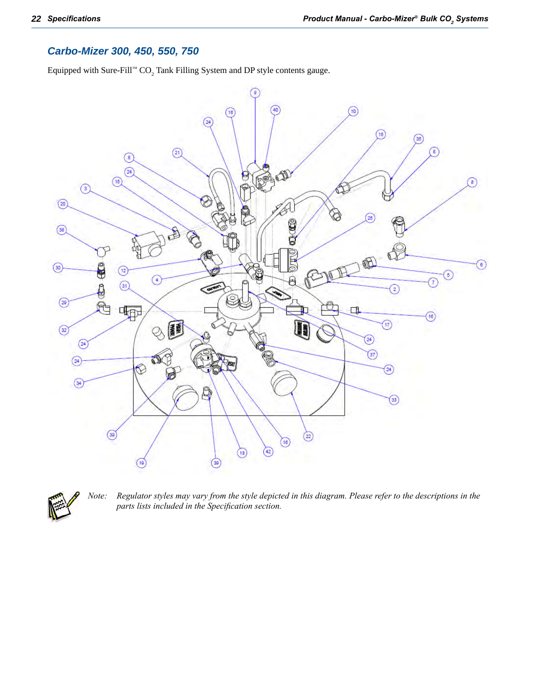#### <span id="page-25-0"></span>*Carbo-Mizer 300, 450, 550, 750*

Equipped with Sure-Fill™  $\text{CO}_2$  Tank Filling System and DP style contents gauge.





Note: Regulator styles may vary from the style depicted in this diagram. Please refer to the descriptions in the *parts lists included in the Specification section.*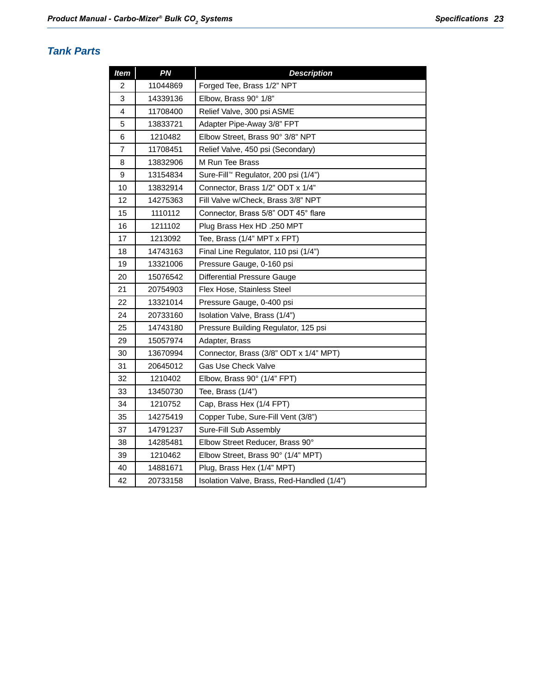#### <span id="page-26-0"></span>*Tank Parts*

| <b>Item</b> | PN       | <b>Description</b>                         |  |
|-------------|----------|--------------------------------------------|--|
| 2           | 11044869 | Forged Tee, Brass 1/2" NPT                 |  |
| 3           | 14339136 | Elbow, Brass 90° 1/8"                      |  |
| 4           | 11708400 | Relief Valve, 300 psi ASME                 |  |
| 5           | 13833721 | Adapter Pipe-Away 3/8" FPT                 |  |
| 6           | 1210482  | Elbow Street, Brass 90° 3/8" NPT           |  |
| 7           | 11708451 | Relief Valve, 450 psi (Secondary)          |  |
| 8           | 13832906 | M Run Tee Brass                            |  |
| 9           | 13154834 | Sure-Fill™ Regulator, 200 psi (1/4")       |  |
| 10          | 13832914 | Connector, Brass 1/2" ODT x 1/4"           |  |
| 12          | 14275363 | Fill Valve w/Check, Brass 3/8" NPT         |  |
| 15          | 1110112  | Connector, Brass 5/8" ODT 45° flare        |  |
| 16          | 1211102  | Plug Brass Hex HD .250 MPT                 |  |
| 17          | 1213092  | Tee, Brass (1/4" MPT x FPT)                |  |
| 18          | 14743163 | Final Line Regulator, 110 psi (1/4")       |  |
| 19          | 13321006 | Pressure Gauge, 0-160 psi                  |  |
| 20          | 15076542 | <b>Differential Pressure Gauge</b>         |  |
| 21          | 20754903 | Flex Hose, Stainless Steel                 |  |
| 22          | 13321014 | Pressure Gauge, 0-400 psi                  |  |
| 24          | 20733160 | Isolation Valve, Brass (1/4")              |  |
| 25          | 14743180 | Pressure Building Regulator, 125 psi       |  |
| 29          | 15057974 | Adapter, Brass                             |  |
| 30          | 13670994 | Connector, Brass (3/8" ODT x 1/4" MPT)     |  |
| 31          | 20645012 | <b>Gas Use Check Valve</b>                 |  |
| 32          | 1210402  | Elbow, Brass 90° (1/4" FPT)                |  |
| 33          | 13450730 | Tee, Brass (1/4")                          |  |
| 34          | 1210752  | Cap, Brass Hex (1/4 FPT)                   |  |
| 35          | 14275419 | Copper Tube, Sure-Fill Vent (3/8")         |  |
| 37          | 14791237 | Sure-Fill Sub Assembly                     |  |
| 38          | 14285481 | Elbow Street Reducer, Brass 90°            |  |
| 39          | 1210462  | Elbow Street, Brass 90° (1/4" MPT)         |  |
| 40          | 14881671 | Plug, Brass Hex (1/4" MPT)                 |  |
| 42          | 20733158 | Isolation Valve, Brass, Red-Handled (1/4") |  |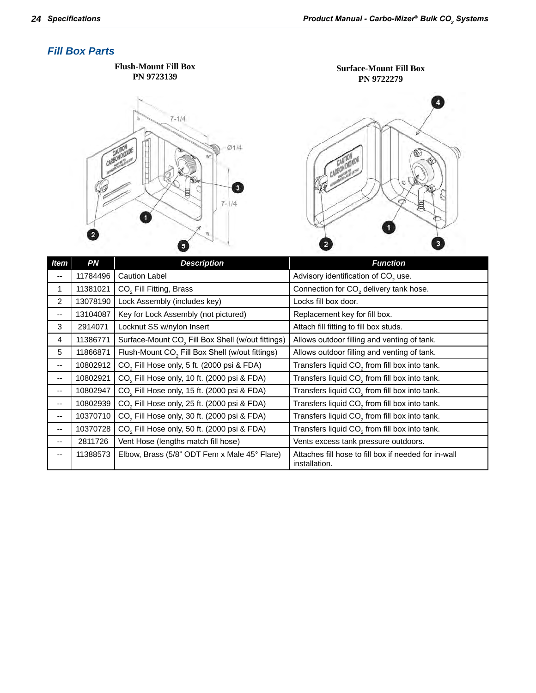#### <span id="page-27-0"></span>*Fill Box Parts*



|                | 11784496 | Caution Label                                                 | Advisory identification of CO <sub>2</sub> use.                       |
|----------------|----------|---------------------------------------------------------------|-----------------------------------------------------------------------|
| 1              | 11381021 | CO <sub>2</sub> Fill Fitting, Brass                           | Connection for CO <sub>2</sub> delivery tank hose.                    |
| $\overline{2}$ | 13078190 | Lock Assembly (includes key)                                  | Locks fill box door.                                                  |
| --             | 13104087 | Key for Lock Assembly (not pictured)                          | Replacement key for fill box.                                         |
| 3              | 2914071  | Locknut SS w/nylon Insert                                     | Attach fill fitting to fill box studs.                                |
| 4              | 11386771 | Surface-Mount CO <sub>2</sub> Fill Box Shell (w/out fittings) | Allows outdoor filling and venting of tank.                           |
| 5              | 11866871 | Flush-Mount CO <sub>2</sub> Fill Box Shell (w/out fittings)   | Allows outdoor filling and venting of tank.                           |
| --             | 10802912 | CO <sub>2</sub> Fill Hose only, 5 ft. (2000 psi & FDA)        | Transfers liquid CO <sub>2</sub> from fill box into tank.             |
| --             | 10802921 | CO <sub>2</sub> Fill Hose only, 10 ft. (2000 psi & FDA)       | Transfers liquid CO <sub>2</sub> from fill box into tank.             |
| --             | 10802947 | CO <sub>2</sub> Fill Hose only, 15 ft. (2000 psi & FDA)       | Transfers liquid CO <sub>2</sub> from fill box into tank.             |
| $- -$          | 10802939 | CO <sub>2</sub> Fill Hose only, 25 ft. (2000 psi & FDA)       | Transfers liquid CO <sub>2</sub> from fill box into tank.             |
| --             | 10370710 | CO <sub>2</sub> Fill Hose only, 30 ft. (2000 psi & FDA)       | Transfers liquid CO <sub>2</sub> from fill box into tank.             |
| --             | 10370728 | CO <sub>2</sub> Fill Hose only, 50 ft. (2000 psi & FDA)       | Transfers liquid CO <sub>2</sub> from fill box into tank.             |
| --             | 2811726  | Vent Hose (lengths match fill hose)                           | Vents excess tank pressure outdoors.                                  |
| ۰.             | 11388573 | Elbow, Brass (5/8" ODT Fem x Male 45° Flare)                  | Attaches fill hose to fill box if needed for in-wall<br>installation. |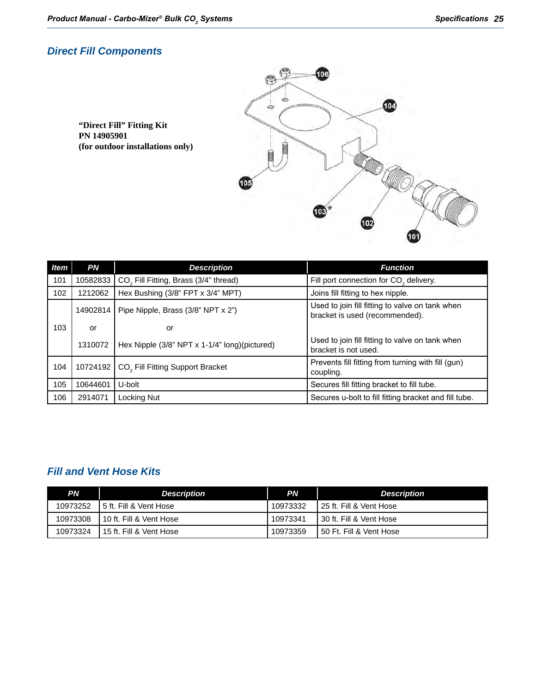#### <span id="page-28-0"></span>*Direct Fill Components*

**"Direct Fill" Fitting Kit PN 14905901 (for outdoor installations only)**



| Item | <b>PN</b> | <b>Description</b>                                | <b>Function</b>                                                                   |
|------|-----------|---------------------------------------------------|-----------------------------------------------------------------------------------|
| 101  | 10582833  | CO <sub>2</sub> Fill Fitting, Brass (3/4" thread) | Fill port connection for CO <sub>2</sub> delivery.                                |
| 102  | 1212062   | Hex Bushing (3/8" FPT x 3/4" MPT)                 | Joins fill fitting to hex nipple.                                                 |
|      | 14902814  | Pipe Nipple, Brass (3/8" NPT x 2")                | Used to join fill fitting to valve on tank when<br>bracket is used (recommended). |
| 103  | or        | or                                                |                                                                                   |
|      | 1310072   | Hex Nipple (3/8" NPT x 1-1/4" long)(pictured)     | Used to join fill fitting to valve on tank when<br>bracket is not used.           |
| 104  | 10724192  | CO <sub>2</sub> Fill Fitting Support Bracket      | Prevents fill fitting from turning with fill (gun)<br>coupling.                   |
| 105  | 10644601  | U-bolt                                            | Secures fill fitting bracket to fill tube.                                        |
| 106  | 2914071   | Locking Nut                                       | Secures u-bolt to fill fitting bracket and fill tube.                             |

### *Fill and Vent Hose Kits*

| PN       | <b>Description</b>        | PN       | <b>Description</b>        |
|----------|---------------------------|----------|---------------------------|
| 10973252 | 15 ft. Fill & Vent Hose   | 10973332 | I 25 ft. Fill & Vent Hose |
| 10973308 | I 10 ft. Fill & Vent Hose | 10973341 | 130 ft. Fill & Vent Hose  |
| 10973324 | 15 ft. Fill & Vent Hose   | 10973359 | 50 Ft. Fill & Vent Hose   |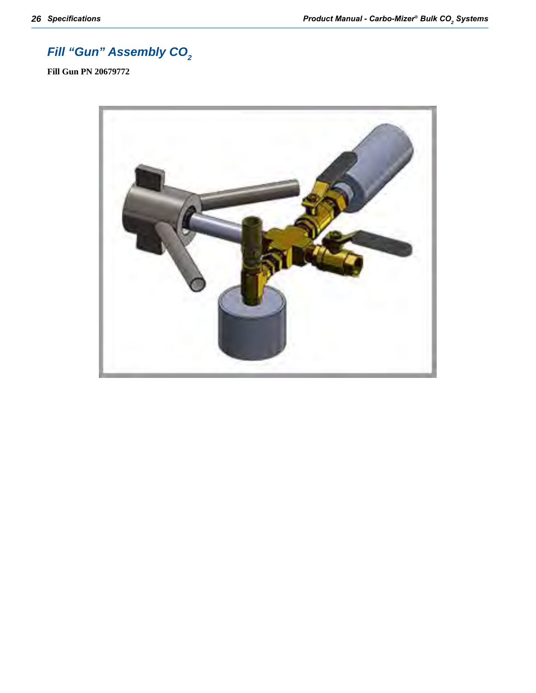## <span id="page-29-0"></span>**Fill "Gun" Assembly CO<sub>2</sub>**

**Fill Gun PN 20679772**

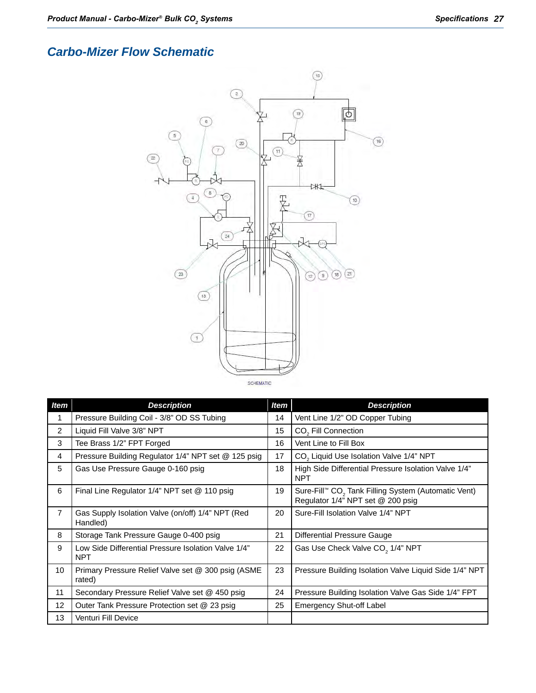## <span id="page-30-0"></span>*Carbo-Mizer Flow Schematic*



| <b>Item</b>    | <b>Description</b>                                                | <b>Item</b> | <b>Description</b>                                                                                   |
|----------------|-------------------------------------------------------------------|-------------|------------------------------------------------------------------------------------------------------|
| 1              | Pressure Building Coil - 3/8" OD SS Tubing                        |             | Vent Line 1/2" OD Copper Tubing                                                                      |
| 2              | Liquid Fill Valve 3/8" NPT                                        | 15          | CO <sub>2</sub> Fill Connection                                                                      |
| 3              | Tee Brass 1/2" FPT Forged                                         | 16          | Vent Line to Fill Box                                                                                |
| 4              | Pressure Building Regulator 1/4" NPT set @ 125 psig               | 17          | CO <sub>2</sub> Liquid Use Isolation Valve 1/4" NPT                                                  |
| 5              | Gas Use Pressure Gauge 0-160 psig                                 | 18          | High Side Differential Pressure Isolation Valve 1/4"<br><b>NPT</b>                                   |
| 6              | Final Line Regulator 1/4" NPT set @ 110 psig                      | 19          | Sure-Fill™ CO <sub>2</sub> Tank Filling System (Automatic Vent)<br>Regulator 1/4" NPT set @ 200 psig |
| $\overline{7}$ | Gas Supply Isolation Valve (on/off) 1/4" NPT (Red<br>Handled)     | 20          | Sure-Fill Isolation Valve 1/4" NPT                                                                   |
| 8              | Storage Tank Pressure Gauge 0-400 psig                            | 21          | Differential Pressure Gauge                                                                          |
| 9              | Low Side Differential Pressure Isolation Valve 1/4"<br><b>NPT</b> | 22          | Gas Use Check Valve CO <sub>2</sub> 1/4" NPT                                                         |
| 10             | Primary Pressure Relief Valve set @ 300 psig (ASME<br>rated)      | 23          | Pressure Building Isolation Valve Liquid Side 1/4" NPT                                               |
| 11             | Secondary Pressure Relief Valve set @ 450 psig                    | 24          | Pressure Building Isolation Valve Gas Side 1/4" FPT                                                  |
| 12             | Outer Tank Pressure Protection set @ 23 psig                      | 25          | <b>Emergency Shut-off Label</b>                                                                      |
| 13             | Venturi Fill Device                                               |             |                                                                                                      |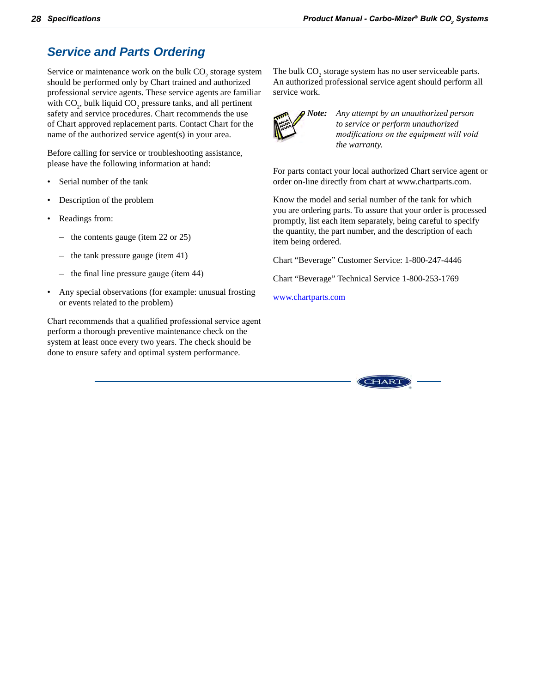## <span id="page-31-0"></span>*Service and Parts Ordering*

Service or maintenance work on the bulk  $CO_2$  storage system should be performed only by Chart trained and authorized professional service agents. These service agents are familiar with  $CO<sub>2</sub>$ , bulk liquid  $CO<sub>2</sub>$  pressure tanks, and all pertinent safety and service procedures. Chart recommends the use of Chart approved replacement parts. Contact Chart for the name of the authorized service agent(s) in your area.

Before calling for service or troubleshooting assistance, please have the following information at hand:

- Serial number of the tank
- Description of the problem
- Readings from:
	- the contents gauge (item 22 or 25)
	- the tank pressure gauge (item 41)
	- the final line pressure gauge (item 44)
- Any special observations (for example: unusual frosting or events related to the problem)

Chart recommends that a qualified professional service agent perform a thorough preventive maintenance check on the system at least once every two years. The check should be done to ensure safety and optimal system performance.

The bulk  $CO_2$  storage system has no user serviceable parts. An authorized professional service agent should perform all service work.



*Note: Any attempt by an unauthorized person to service or perform unauthorized modifications on the equipment will void the warranty.*

For parts contact your local authorized Chart service agent or order on-line directly from chart at www.chartparts.com.

Know the model and serial number of the tank for which you are ordering parts. To assure that your order is processed promptly, list each item separately, being careful to specify the quantity, the part number, and the description of each item being ordered.

Chart "Beverage" Customer Service: 1-800-247-4446

Chart "Beverage" Technical Service 1-800-253-1769

[www.chartparts.com](http://www.chartparts.com/Default.aspx)

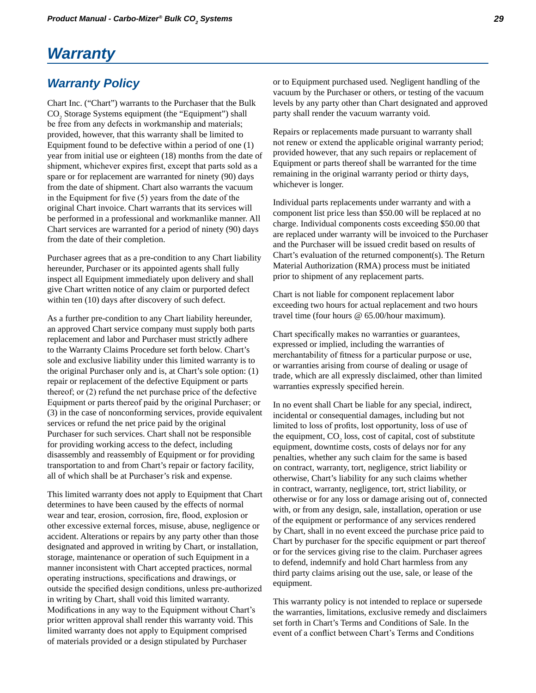## <span id="page-32-0"></span>*Warranty*

### *Warranty Policy*

Chart Inc. ("Chart") warrants to the Purchaser that the Bulk CO<sub>2</sub> Storage Systems equipment (the "Equipment") shall be free from any defects in workmanship and materials; provided, however, that this warranty shall be limited to Equipment found to be defective within a period of one (1) year from initial use or eighteen (18) months from the date of shipment, whichever expires first, except that parts sold as a spare or for replacement are warranted for ninety (90) days from the date of shipment. Chart also warrants the vacuum in the Equipment for five (5) years from the date of the original Chart invoice. Chart warrants that its services will be performed in a professional and workmanlike manner. All Chart services are warranted for a period of ninety (90) days from the date of their completion.

Purchaser agrees that as a pre-condition to any Chart liability hereunder, Purchaser or its appointed agents shall fully inspect all Equipment immediately upon delivery and shall give Chart written notice of any claim or purported defect within ten (10) days after discovery of such defect.

As a further pre-condition to any Chart liability hereunder, an approved Chart service company must supply both parts replacement and labor and Purchaser must strictly adhere to the Warranty Claims Procedure set forth below. Chart's sole and exclusive liability under this limited warranty is to the original Purchaser only and is, at Chart's sole option: (1) repair or replacement of the defective Equipment or parts thereof; or (2) refund the net purchase price of the defective Equipment or parts thereof paid by the original Purchaser; or (3) in the case of nonconforming services, provide equivalent services or refund the net price paid by the original Purchaser for such services. Chart shall not be responsible for providing working access to the defect, including disassembly and reassembly of Equipment or for providing transportation to and from Chart's repair or factory facility, all of which shall be at Purchaser's risk and expense.

This limited warranty does not apply to Equipment that Chart determines to have been caused by the effects of normal wear and tear, erosion, corrosion, fire, flood, explosion or other excessive external forces, misuse, abuse, negligence or accident. Alterations or repairs by any party other than those designated and approved in writing by Chart, or installation, storage, maintenance or operation of such Equipment in a manner inconsistent with Chart accepted practices, normal operating instructions, specifications and drawings, or outside the specified design conditions, unless pre-authorized in writing by Chart, shall void this limited warranty. Modifications in any way to the Equipment without Chart's prior written approval shall render this warranty void. This limited warranty does not apply to Equipment comprised of materials provided or a design stipulated by Purchaser

or to Equipment purchased used. Negligent handling of the vacuum by the Purchaser or others, or testing of the vacuum levels by any party other than Chart designated and approved party shall render the vacuum warranty void.

Repairs or replacements made pursuant to warranty shall not renew or extend the applicable original warranty period; provided however, that any such repairs or replacement of Equipment or parts thereof shall be warranted for the time remaining in the original warranty period or thirty days, whichever is longer.

Individual parts replacements under warranty and with a component list price less than \$50.00 will be replaced at no charge. Individual components costs exceeding \$50.00 that are replaced under warranty will be invoiced to the Purchaser and the Purchaser will be issued credit based on results of Chart's evaluation of the returned component(s). The Return Material Authorization (RMA) process must be initiated prior to shipment of any replacement parts.

Chart is not liable for component replacement labor exceeding two hours for actual replacement and two hours travel time (four hours @ 65.00/hour maximum).

Chart specifically makes no warranties or guarantees, expressed or implied, including the warranties of merchantability of fitness for a particular purpose or use, or warranties arising from course of dealing or usage of trade, which are all expressly disclaimed, other than limited warranties expressly specified herein.

In no event shall Chart be liable for any special, indirect, incidental or consequential damages, including but not limited to loss of profits, lost opportunity, loss of use of the equipment,  $CO<sub>2</sub>$  loss, cost of capital, cost of substitute equipment, downtime costs, costs of delays nor for any penalties, whether any such claim for the same is based on contract, warranty, tort, negligence, strict liability or otherwise, Chart's liability for any such claims whether in contract, warranty, negligence, tort, strict liability, or otherwise or for any loss or damage arising out of, connected with, or from any design, sale, installation, operation or use of the equipment or performance of any services rendered by Chart, shall in no event exceed the purchase price paid to Chart by purchaser for the specific equipment or part thereof or for the services giving rise to the claim. Purchaser agrees to defend, indemnify and hold Chart harmless from any third party claims arising out the use, sale, or lease of the equipment.

This warranty policy is not intended to replace or supersede the warranties, limitations, exclusive remedy and disclaimers set forth in Chart's Terms and Conditions of Sale. In the event of a conflict between Chart's Terms and Conditions